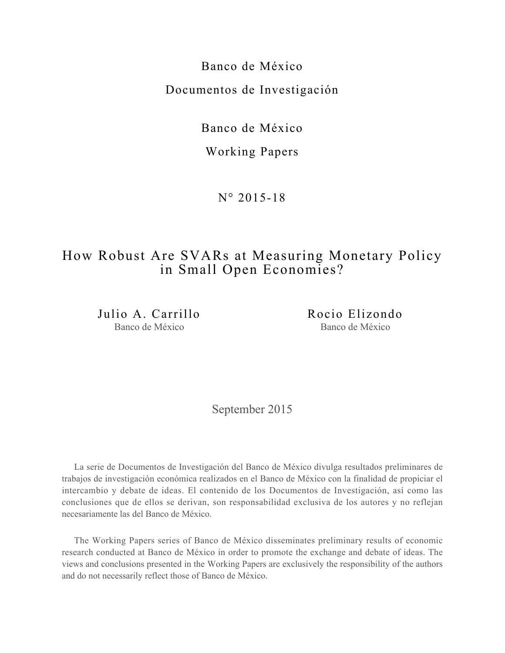Banco de México Documentos de Investigación

Banco de México

Working Papers

N° 2015-18

# How Robust Are SVARs at Measuring Monetary Policy in Small Open Economies?

Julio A. Carrillo Banco de México

Rocio Elizondo Banco de México

September 2015

La serie de Documentos de Investigación del Banco de México divulga resultados preliminares de trabajos de investigación económica realizados en el Banco de México con la finalidad de propiciar el intercambio y debate de ideas. El contenido de los Documentos de Investigación, así como las conclusiones que de ellos se derivan, son responsabilidad exclusiva de los autores y no reflejan necesariamente las del Banco de México.

The Working Papers series of Banco de México disseminates preliminary results of economic research conducted at Banco de México in order to promote the exchange and debate of ideas. The views and conclusions presented in the Working Papers are exclusively the responsibility of the authors and do not necessarily reflect those of Banco de México.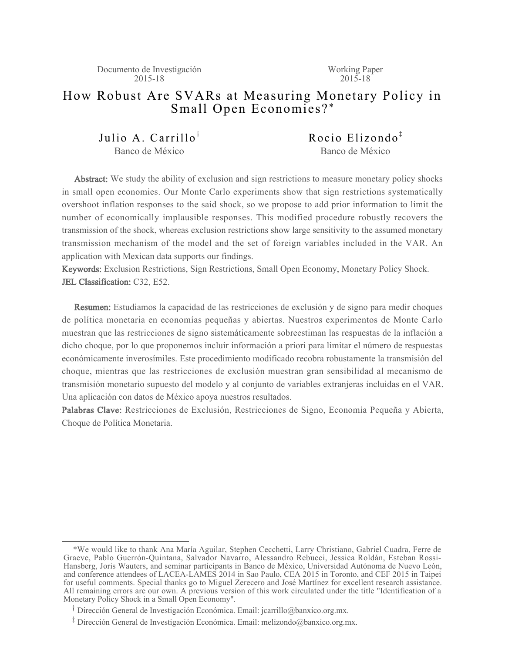Documento de Investigación 2015-18

Working Paper  $2015 - 18$ 

## How Robust Are SVARs at Measuring Monetary Policy in Small Open Economies? \*

Julio A. Carrillo<sup>†</sup> Banco de México

Rocio Elizondo $^{\ddagger}$ Banco de México

Abstract: We study the ability of exclusion and sign restrictions to measure monetary policy shocks in small open economies. Our Monte Carlo experiments show that sign restrictions systematically overshoot inflation responses to the said shock, so we propose to add prior information to limit the number of economically implausible responses. This modified procedure robustly recovers the transmission of the shock, whereas exclusion restrictions show large sensitivity to the assumed monetary transmission mechanism of the model and the set of foreign variables included in the VAR. An application with Mexican data supports our findings.

Keywords: Exclusion Restrictions, Sign Restrictions, Small Open Economy, Monetary Policy Shock. JEL Classification: C32, E52.

Resumen: Estudiamos la capacidad de las restricciones de exclusión y de signo para medir choques de política monetaria en economías pequeñas y abiertas. Nuestros experimentos de Monte Carlo muestran que las restricciones de signo sistemáticamente sobreestiman las respuestas de la inflación a dicho choque, por lo que proponemos incluir información a priori para limitar el número de respuestas económicamente inverosímiles. Este procedimiento modificado recobra robustamente la transmisión del choque, mientras que las restricciones de exclusión muestran gran sensibilidad al mecanismo de transmisión monetario supuesto del modelo y al conjunto de variables extranjeras incluidas en el VAR. Una aplicación con datos de México apoya nuestros resultados.

Palabras Clave: Restricciones de Exclusión, Restricciones de Signo, Economía Pequeña y Abierta, Choque de Política Monetaria.

 <sup>\*</sup>We would like to thank Ana María Aguilar, Stephen Cecchetti, Larry Christiano, Gabriel Cuadra, Ferre de Graeve, Pablo Guerrón-Quintana, Salvador Navarro, Alessandro Rebucci, Jessica Roldán, Esteban Rossi-Hansberg, Joris Wauters, and seminar participants in Banco de México, Universidad Autónoma de Nuevo León, and conference attendees of LACEA-LAMES 2014 in Sao Paulo, CEA 2015 in Toronto, and CEF 2015 in Taipei for useful comments. Special thanks go to Miguel Zerecero and José Martínez for excellent research assistance. All remaining errors are our own. A previous version of this work circulated under the title "Identification of a Monetary Policy Shock in a Small Open Economy".

<sup>&</sup>lt;sup>T</sup> Dirección General de Investigación Económica. Email: jcarrillo@banxico.org.mx.

<sup>&</sup>lt;sup>‡</sup> Dirección General de Investigación Económica. Email: melizondo@banxico.org.mx.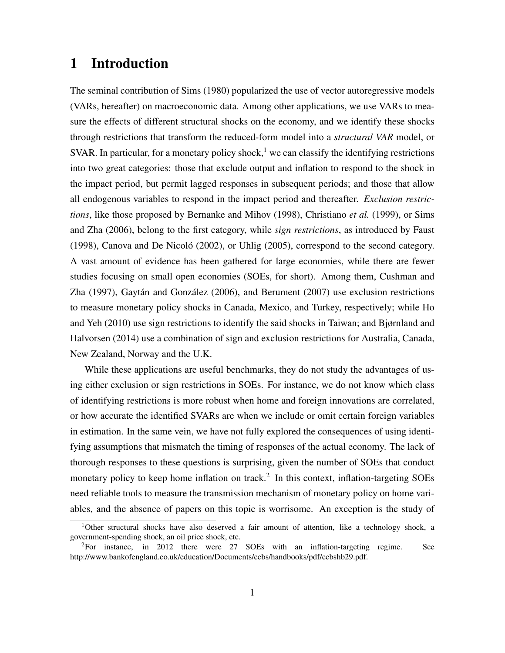## 1 Introduction

The seminal contribution of Sims (1980) popularized the use of vector autoregressive models (VARs, hereafter) on macroeconomic data. Among other applications, we use VARs to measure the effects of different structural shocks on the economy, and we identify these shocks through restrictions that transform the reduced-form model into a *structural VAR* model, or SVAR. In particular, for a monetary policy shock,<sup>1</sup> we can classify the identifying restrictions into two great categories: those that exclude output and inflation to respond to the shock in the impact period, but permit lagged responses in subsequent periods; and those that allow all endogenous variables to respond in the impact period and thereafter. *Exclusion restrictions*, like those proposed by Bernanke and Mihov (1998), Christiano *et al.* (1999), or Sims and Zha (2006), belong to the first category, while *sign restrictions*, as introduced by Faust  $(1998)$ , Canova and De Nicoló  $(2002)$ , or Uhlig  $(2005)$ , correspond to the second category. A vast amount of evidence has been gathered for large economies, while there are fewer studies focusing on small open economies (SOEs, for short). Among them, Cushman and Zha (1997), Gaytán and González (2006), and Berument (2007) use exclusion restrictions to measure monetary policy shocks in Canada, Mexico, and Turkey, respectively; while Ho and Yeh (2010) use sign restrictions to identify the said shocks in Taiwan; and Bjørnland and Halvorsen (2014) use a combination of sign and exclusion restrictions for Australia, Canada, New Zealand, Norway and the U.K.

While these applications are useful benchmarks, they do not study the advantages of using either exclusion or sign restrictions in SOEs. For instance, we do not know which class of identifying restrictions is more robust when home and foreign innovations are correlated, or how accurate the identified SVARs are when we include or omit certain foreign variables in estimation. In the same vein, we have not fully explored the consequences of using identifying assumptions that mismatch the timing of responses of the actual economy. The lack of thorough responses to these questions is surprising, given the number of SOEs that conduct monetary policy to keep home inflation on track.<sup>2</sup> In this context, inflation-targeting SOEs need reliable tools to measure the transmission mechanism of monetary policy on home variables, and the absence of papers on this topic is worrisome. An exception is the study of

<sup>1</sup>Other structural shocks have also deserved a fair amount of attention, like a technology shock, a government-spending shock, an oil price shock, etc.

<sup>2</sup>For instance, in 2012 there were 27 SOEs with an inflation-targeting regime. See http://www.bankofengland.co.uk/education/Documents/ccbs/handbooks/pdf/ccbshb29.pdf.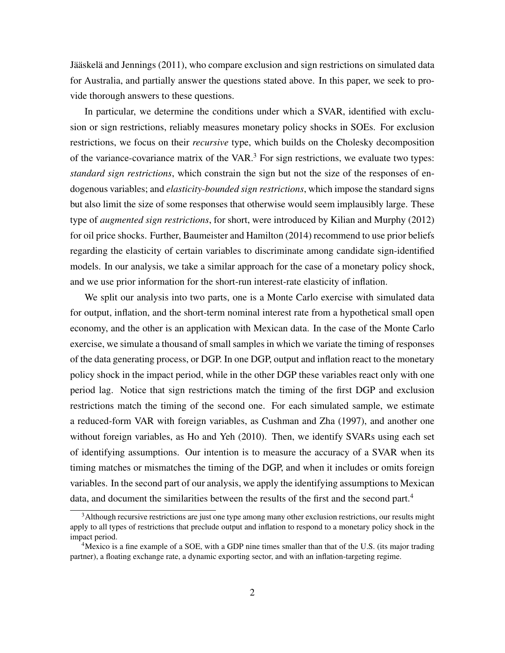Jääskelä and Jennings (2011), who compare exclusion and sign restrictions on simulated data for Australia, and partially answer the questions stated above. In this paper, we seek to provide thorough answers to these questions.

In particular, we determine the conditions under which a SVAR, identified with exclusion or sign restrictions, reliably measures monetary policy shocks in SOEs. For exclusion restrictions, we focus on their *recursive* type, which builds on the Cholesky decomposition of the variance-covariance matrix of the VAR. $3$  For sign restrictions, we evaluate two types: *standard sign restrictions*, which constrain the sign but not the size of the responses of endogenous variables; and *elasticity-bounded sign restrictions*, which impose the standard signs but also limit the size of some responses that otherwise would seem implausibly large. These type of *augmented sign restrictions*, for short, were introduced by Kilian and Murphy (2012) for oil price shocks. Further, Baumeister and Hamilton (2014) recommend to use prior beliefs regarding the elasticity of certain variables to discriminate among candidate sign-identified models. In our analysis, we take a similar approach for the case of a monetary policy shock, and we use prior information for the short-run interest-rate elasticity of inflation.

We split our analysis into two parts, one is a Monte Carlo exercise with simulated data for output, inflation, and the short-term nominal interest rate from a hypothetical small open economy, and the other is an application with Mexican data. In the case of the Monte Carlo exercise, we simulate a thousand of small samples in which we variate the timing of responses of the data generating process, or DGP. In one DGP, output and inflation react to the monetary policy shock in the impact period, while in the other DGP these variables react only with one period lag. Notice that sign restrictions match the timing of the first DGP and exclusion restrictions match the timing of the second one. For each simulated sample, we estimate a reduced-form VAR with foreign variables, as Cushman and Zha (1997), and another one without foreign variables, as Ho and Yeh (2010). Then, we identify SVARs using each set of identifying assumptions. Our intention is to measure the accuracy of a SVAR when its timing matches or mismatches the timing of the DGP, and when it includes or omits foreign variables. In the second part of our analysis, we apply the identifying assumptions to Mexican data, and document the similarities between the results of the first and the second part.<sup>4</sup>

<sup>3</sup>Although recursive restrictions are just one type among many other exclusion restrictions, our results might apply to all types of restrictions that preclude output and inflation to respond to a monetary policy shock in the impact period.

<sup>&</sup>lt;sup>4</sup>Mexico is a fine example of a SOE, with a GDP nine times smaller than that of the U.S. (its major trading partner), a floating exchange rate, a dynamic exporting sector, and with an inflation-targeting regime.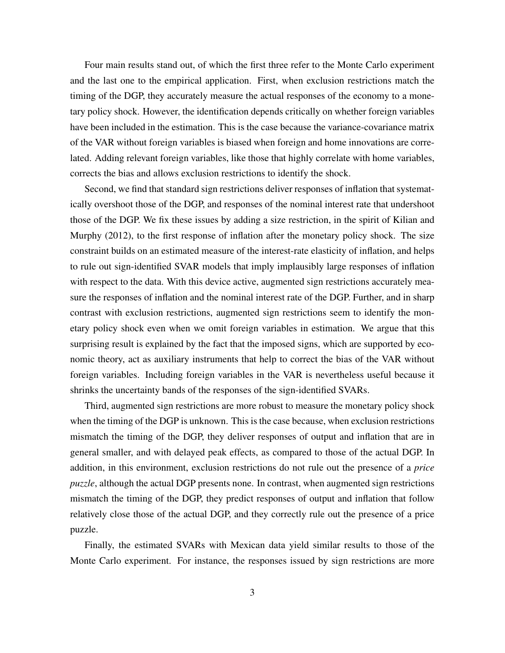Four main results stand out, of which the first three refer to the Monte Carlo experiment and the last one to the empirical application. First, when exclusion restrictions match the timing of the DGP, they accurately measure the actual responses of the economy to a monetary policy shock. However, the identification depends critically on whether foreign variables have been included in the estimation. This is the case because the variance-covariance matrix of the VAR without foreign variables is biased when foreign and home innovations are correlated. Adding relevant foreign variables, like those that highly correlate with home variables, corrects the bias and allows exclusion restrictions to identify the shock.

Second, we find that standard sign restrictions deliver responses of inflation that systematically overshoot those of the DGP, and responses of the nominal interest rate that undershoot those of the DGP. We fix these issues by adding a size restriction, in the spirit of Kilian and Murphy (2012), to the first response of inflation after the monetary policy shock. The size constraint builds on an estimated measure of the interest-rate elasticity of inflation, and helps to rule out sign-identified SVAR models that imply implausibly large responses of inflation with respect to the data. With this device active, augmented sign restrictions accurately measure the responses of inflation and the nominal interest rate of the DGP. Further, and in sharp contrast with exclusion restrictions, augmented sign restrictions seem to identify the monetary policy shock even when we omit foreign variables in estimation. We argue that this surprising result is explained by the fact that the imposed signs, which are supported by economic theory, act as auxiliary instruments that help to correct the bias of the VAR without foreign variables. Including foreign variables in the VAR is nevertheless useful because it shrinks the uncertainty bands of the responses of the sign-identified SVARs.

Third, augmented sign restrictions are more robust to measure the monetary policy shock when the timing of the DGP is unknown. This is the case because, when exclusion restrictions mismatch the timing of the DGP, they deliver responses of output and inflation that are in general smaller, and with delayed peak effects, as compared to those of the actual DGP. In addition, in this environment, exclusion restrictions do not rule out the presence of a *price puzzle*, although the actual DGP presents none. In contrast, when augmented sign restrictions mismatch the timing of the DGP, they predict responses of output and inflation that follow relatively close those of the actual DGP, and they correctly rule out the presence of a price puzzle.

Finally, the estimated SVARs with Mexican data yield similar results to those of the Monte Carlo experiment. For instance, the responses issued by sign restrictions are more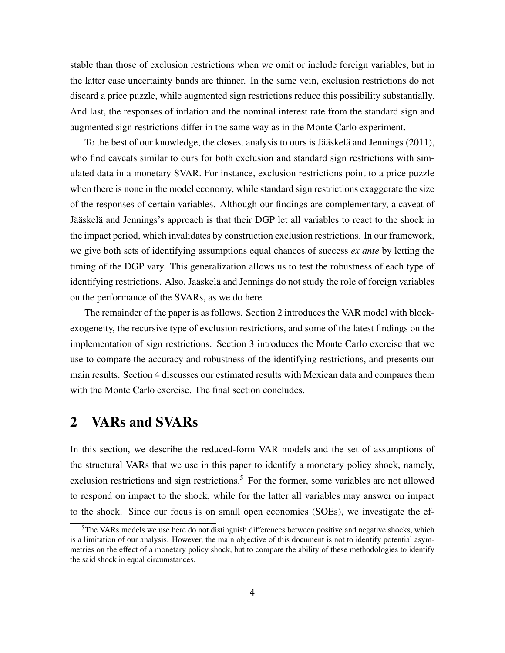stable than those of exclusion restrictions when we omit or include foreign variables, but in the latter case uncertainty bands are thinner. In the same vein, exclusion restrictions do not discard a price puzzle, while augmented sign restrictions reduce this possibility substantially. And last, the responses of inflation and the nominal interest rate from the standard sign and augmented sign restrictions differ in the same way as in the Monte Carlo experiment.

To the best of our knowledge, the closest analysis to ours is Jääskelä and Jennings (2011), who find caveats similar to ours for both exclusion and standard sign restrictions with simulated data in a monetary SVAR. For instance, exclusion restrictions point to a price puzzle when there is none in the model economy, while standard sign restrictions exaggerate the size of the responses of certain variables. Although our findings are complementary, a caveat of Jääskelä and Jennings's approach is that their DGP let all variables to react to the shock in the impact period, which invalidates by construction exclusion restrictions. In our framework, we give both sets of identifying assumptions equal chances of success *ex ante* by letting the timing of the DGP vary. This generalization allows us to test the robustness of each type of identifying restrictions. Also, Jääskelä and Jennings do not study the role of foreign variables on the performance of the SVARs, as we do here.

The remainder of the paper is as follows. Section 2 introduces the VAR model with blockexogeneity, the recursive type of exclusion restrictions, and some of the latest findings on the implementation of sign restrictions. Section 3 introduces the Monte Carlo exercise that we use to compare the accuracy and robustness of the identifying restrictions, and presents our main results. Section 4 discusses our estimated results with Mexican data and compares them with the Monte Carlo exercise. The final section concludes.

# 2 VARs and SVARs

In this section, we describe the reduced-form VAR models and the set of assumptions of the structural VARs that we use in this paper to identify a monetary policy shock, namely, exclusion restrictions and sign restrictions.<sup>5</sup> For the former, some variables are not allowed to respond on impact to the shock, while for the latter all variables may answer on impact to the shock. Since our focus is on small open economies (SOEs), we investigate the ef-

<sup>&</sup>lt;sup>5</sup>The VARs models we use here do not distinguish differences between positive and negative shocks, which is a limitation of our analysis. However, the main objective of this document is not to identify potential asymmetries on the effect of a monetary policy shock, but to compare the ability of these methodologies to identify the said shock in equal circumstances.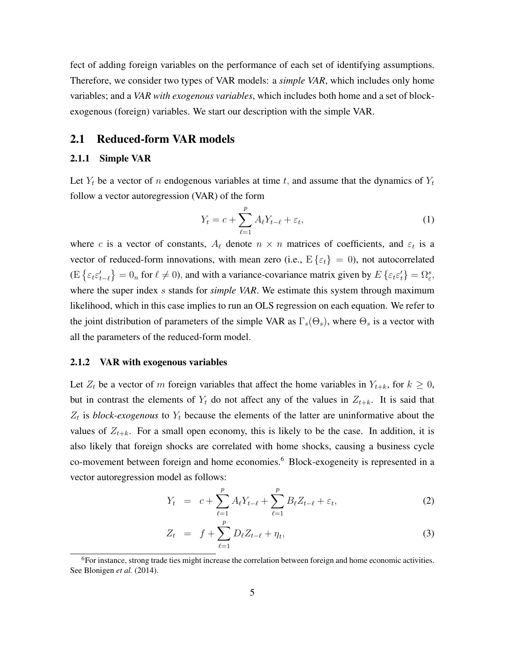fect of adding foreign variables on the performance of each set of identifying assumptions. Therefore, we consider two types of VAR models: a *simple VAR*, which includes only home variables; and a *VAR with exogenous variables*, which includes both home and a set of blockexogenous (foreign) variables. We start our description with the simple VAR.

#### 2.1 Reduced-form VAR models

#### 2.1.1 Simple VAR

Let  $Y_t$  be a vector of n endogenous variables at time t, and assume that the dynamics of  $Y_t$ follow a vector autoregression (VAR) of the form

$$
Y_t = c + \sum_{\ell=1}^p A_\ell Y_{t-\ell} + \varepsilon_t,\tag{1}
$$

where c is a vector of constants,  $A_\ell$  denote  $n \times n$  matrices of coefficients, and  $\varepsilon_t$  is a vector of reduced-form innovations, with mean zero (i.e.,  $E\{\varepsilon_t\} = 0$ ), not autocorrelated  $(E\{\varepsilon_t \varepsilon'_{t-\ell}\} = 0_n$  for  $\ell \neq 0$ , and with a variance-covariance matrix given by  $E\{\varepsilon_t \varepsilon'_t\} = \Omega_{\varepsilon}^s$ , where the super index s stands for *simple VAR*. We estimate this system through maximum likelihood, which in this case implies to run an OLS regression on each equation. We refer to the joint distribution of parameters of the simple VAR as  $\Gamma_s(\Theta_s)$ , where  $\Theta_s$  is a vector with all the parameters of the reduced-form model.

#### 2.1.2 VAR with exogenous variables

Let  $Z_t$  be a vector of m foreign variables that affect the home variables in  $Y_{t+k}$ , for  $k \geq 0$ , but in contrast the elements of  $Y_t$  do not affect any of the values in  $Z_{t+k}$ . It is said that  $Z_t$  is *block-exogenous* to  $Y_t$  because the elements of the latter are uninformative about the values of  $Z_{t+k}$ . For a small open economy, this is likely to be the case. In addition, it is also likely that foreign shocks are correlated with home shocks, causing a business cycle co-movement between foreign and home economies.<sup>6</sup> Block-exogeneity is represented in a vector autoregression model as follows:

$$
Y_t = c + \sum_{\ell=1}^p A_\ell Y_{t-\ell} + \sum_{\ell=1}^p B_\ell Z_{t-\ell} + \varepsilon_t, \tag{2}
$$

$$
Z_t = f + \sum_{\ell=1}^p D_\ell Z_{t-\ell} + \eta_t, \tag{3}
$$

<sup>&</sup>lt;sup>6</sup>For instance, strong trade ties might increase the correlation between foreign and home economic activities. See Blonigen *et al.* (2014).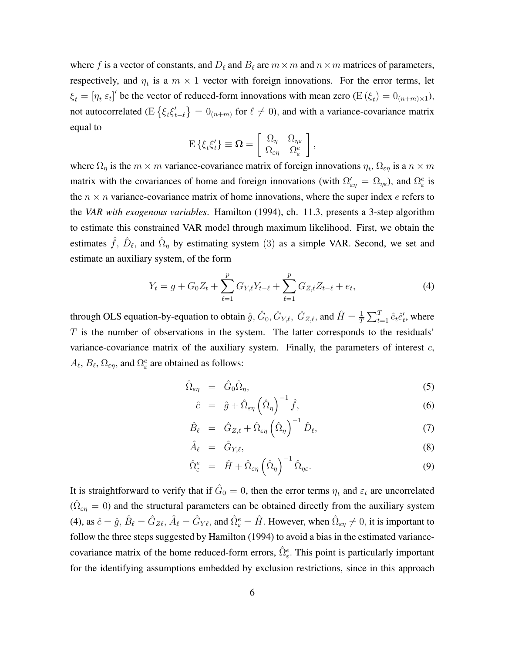where f is a vector of constants, and  $D_\ell$  and  $B_\ell$  are  $m\times m$  and  $n\times m$  matrices of parameters, respectively, and  $\eta_t$  is a  $m \times 1$  vector with foreign innovations. For the error terms, let  $\xi_t = [\eta_t \varepsilon_t]'$  be the vector of reduced-form innovations with mean zero  $(E(\xi_t) = 0_{(n+m)\times 1})$ , not autocorrelated (E $\{\xi_t \xi_t^{\prime}\}$  $\{t'_{t-\ell}\} = 0_{(n+m)}$  for  $\ell \neq 0$ , and with a variance-covariance matrix equal to

$$
\mathrm{E}\left\{\xi_t\xi_t'\right\} \equiv \mathbf{\Omega} = \left[\begin{array}{cc} \Omega_\eta & \Omega_{\eta\varepsilon} \\ \Omega_{\varepsilon\eta} & \Omega_{\varepsilon}^e \end{array}\right],
$$

where  $\Omega_{\eta}$  is the  $m \times m$  variance-covariance matrix of foreign innovations  $\eta_t$ ,  $\Omega_{\epsilon\eta}$  is a  $n \times m$ matrix with the covariances of home and foreign innovations (with  $\Omega'_{\epsilon\eta} = \Omega_{\eta\epsilon}$ ), and  $\Omega^e_{\epsilon}$  is the  $n \times n$  variance-covariance matrix of home innovations, where the super index e refers to the *VAR with exogenous variables*. Hamilton (1994), ch. 11.3, presents a 3-step algorithm to estimate this constrained VAR model through maximum likelihood. First, we obtain the estimates  $\hat{f}$ ,  $\hat{D}_{\ell}$ , and  $\hat{\Omega}_{\eta}$  by estimating system (3) as a simple VAR. Second, we set and estimate an auxiliary system, of the form

$$
Y_t = g + G_0 Z_t + \sum_{\ell=1}^p G_{Y,\ell} Y_{t-\ell} + \sum_{\ell=1}^p G_{Z,\ell} Z_{t-\ell} + e_t, \tag{4}
$$

through OLS equation-by-equation to obtain  $\hat{g}$ ,  $\hat{G}_0$ ,  $\hat{G}_{Y,\ell}$ ,  $\hat{G}_{Z,\ell}$ , and  $\hat{H} = \frac{1}{T}$  $\frac{1}{T} \sum_{t=1}^{T} \hat{e}_t \hat{e}'_t$ , where  $T$  is the number of observations in the system. The latter corresponds to the residuals' variance-covariance matrix of the auxiliary system. Finally, the parameters of interest  $c$ ,  $A_{\ell}$ ,  $B_{\ell}$ ,  $\Omega_{\varepsilon\eta}$ , and  $\Omega_{\varepsilon}^e$  are obtained as follows:

$$
\hat{\Omega}_{\varepsilon\eta} = \hat{G}_0 \hat{\Omega}_{\eta}, \tag{5}
$$

$$
\hat{c} = \hat{g} + \hat{\Omega}_{\varepsilon\eta} \left( \hat{\Omega}_{\eta} \right)^{-1} \hat{f}, \tag{6}
$$

$$
\hat{B}_{\ell} = \hat{G}_{Z,\ell} + \hat{\Omega}_{\varepsilon\eta} \left(\hat{\Omega}_{\eta}\right)^{-1} \hat{D}_{\ell}, \tag{7}
$$

$$
\hat{A}_{\ell} = \hat{G}_{Y,\ell},\tag{8}
$$

$$
\hat{\Omega}_{\varepsilon}^{e} = \hat{H} + \hat{\Omega}_{\varepsilon\eta} \left( \hat{\Omega}_{\eta} \right)^{-1} \hat{\Omega}_{\eta\varepsilon}.
$$
\n(9)

It is straightforward to verify that if  $\hat{G}_0 = 0$ , then the error terms  $\eta_t$  and  $\varepsilon_t$  are uncorrelated  $(\hat{\Omega}_{\varepsilon\eta} = 0)$  and the structural parameters can be obtained directly from the auxiliary system (4), as  $\hat{c} = \hat{g}$ ,  $\hat{B}_{\ell} = \hat{G}_{Z\ell}$ ,  $\hat{A}_{\ell} = \hat{G}_{Y\ell}$ , and  $\hat{\Omega}_{\varepsilon}^e = \hat{H}$ . However, when  $\hat{\Omega}_{\varepsilon\eta} \neq 0$ , it is important to follow the three steps suggested by Hamilton (1994) to avoid a bias in the estimated variancecovariance matrix of the home reduced-form errors,  $\hat{\Omega}_{\varepsilon}^e$ . This point is particularly important for the identifying assumptions embedded by exclusion restrictions, since in this approach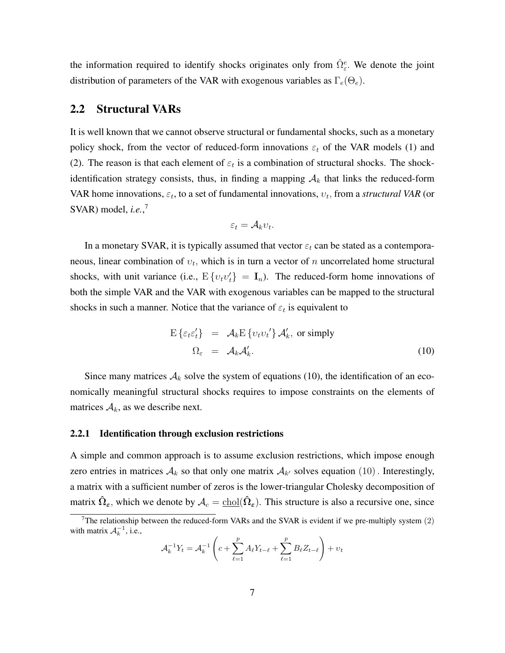the information required to identify shocks originates only from  $\hat{\Omega}^e_{\varepsilon}$ . We denote the joint distribution of parameters of the VAR with exogenous variables as  $\Gamma_e(\Theta_e)$ .

### 2.2 Structural VARs

It is well known that we cannot observe structural or fundamental shocks, such as a monetary policy shock, from the vector of reduced-form innovations  $\varepsilon_t$  of the VAR models (1) and (2). The reason is that each element of  $\varepsilon_t$  is a combination of structural shocks. The shockidentification strategy consists, thus, in finding a mapping  $A_k$  that links the reduced-form VAR home innovations,  $\varepsilon_t$ , to a set of fundamental innovations,  $v_t$ , from a *structural VAR* (or SVAR) model, *i.e.*, 7

$$
\varepsilon_t = \mathcal{A}_k v_t.
$$

In a monetary SVAR, it is typically assumed that vector  $\varepsilon_t$  can be stated as a contemporaneous, linear combination of  $v_t$ , which is in turn a vector of n uncorrelated home structural shocks, with unit variance (i.e.,  $E\{v_t v_t\} = I_n$ ). The reduced-form home innovations of both the simple VAR and the VAR with exogenous variables can be mapped to the structural shocks in such a manner. Notice that the variance of  $\varepsilon_t$  is equivalent to

$$
E\left\{\varepsilon_t\varepsilon_t'\right\} = \mathcal{A}_k E\left\{v_t v_t'\right\} \mathcal{A}_k', \text{ or simply}
$$
  

$$
\Omega_{\varepsilon} = \mathcal{A}_k \mathcal{A}_k'. \tag{10}
$$

Since many matrices  $A_k$  solve the system of equations (10), the identification of an economically meaningful structural shocks requires to impose constraints on the elements of matrices  $A_k$ , as we describe next.

#### 2.2.1 Identification through exclusion restrictions

A simple and common approach is to assume exclusion restrictions, which impose enough zero entries in matrices  $A_k$  so that only one matrix  $A_{k'}$  solves equation  $(10)$ . Interestingly, a matrix with a sufficient number of zeros is the lower-triangular Cholesky decomposition of matrix  $\hat{\Omega}_{\epsilon}$ , which we denote by  $A_c = \text{chol}(\hat{\Omega}_{\epsilon})$ . This structure is also a recursive one, since

$$
\mathcal{A}_k^{-1} Y_t = \mathcal{A}_k^{-1} \left( c + \sum_{\ell=1}^p A_\ell Y_{t-\ell} + \sum_{\ell=1}^p B_\ell Z_{t-\ell} \right) + v_t
$$

<sup>7</sup>The relationship between the reduced-form VARs and the SVAR is evident if we pre-multiply system (2) with matrix  $A_k^{-1}$ , i.e.,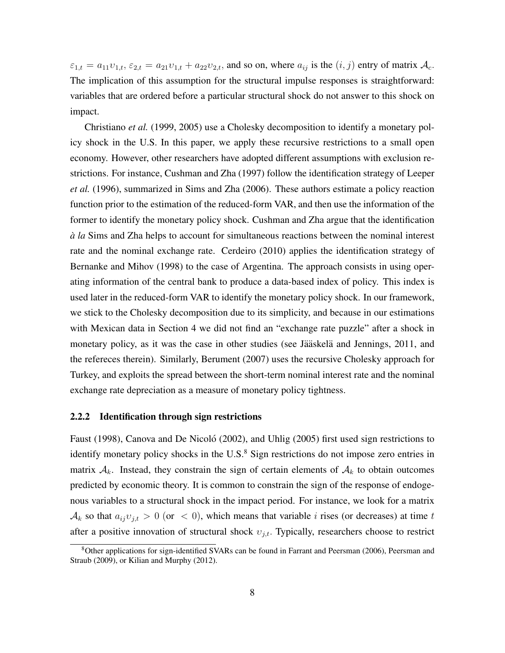$\varepsilon_{1,t} = a_{11}v_{1,t}, \varepsilon_{2,t} = a_{21}v_{1,t} + a_{22}v_{2,t}$ , and so on, where  $a_{ij}$  is the  $(i, j)$  entry of matrix  $\mathcal{A}_c$ . The implication of this assumption for the structural impulse responses is straightforward: variables that are ordered before a particular structural shock do not answer to this shock on impact.

Christiano *et al.* (1999, 2005) use a Cholesky decomposition to identify a monetary policy shock in the U.S. In this paper, we apply these recursive restrictions to a small open economy. However, other researchers have adopted different assumptions with exclusion restrictions. For instance, Cushman and Zha (1997) follow the identification strategy of Leeper *et al.* (1996), summarized in Sims and Zha (2006). These authors estimate a policy reaction function prior to the estimation of the reduced-form VAR, and then use the information of the former to identify the monetary policy shock. Cushman and Zha argue that the identification *a la `* Sims and Zha helps to account for simultaneous reactions between the nominal interest rate and the nominal exchange rate. Cerdeiro (2010) applies the identification strategy of Bernanke and Mihov (1998) to the case of Argentina. The approach consists in using operating information of the central bank to produce a data-based index of policy. This index is used later in the reduced-form VAR to identify the monetary policy shock. In our framework, we stick to the Cholesky decomposition due to its simplicity, and because in our estimations with Mexican data in Section 4 we did not find an "exchange rate puzzle" after a shock in monetary policy, as it was the case in other studies (see Jääskelä and Jennings, 2011, and the refereces therein). Similarly, Berument (2007) uses the recursive Cholesky approach for Turkey, and exploits the spread between the short-term nominal interest rate and the nominal exchange rate depreciation as a measure of monetary policy tightness.

#### 2.2.2 Identification through sign restrictions

Faust (1998), Canova and De Nicoló (2002), and Uhlig (2005) first used sign restrictions to identify monetary policy shocks in the U.S.<sup>8</sup> Sign restrictions do not impose zero entries in matrix  $A_k$ . Instead, they constrain the sign of certain elements of  $A_k$  to obtain outcomes predicted by economic theory. It is common to constrain the sign of the response of endogenous variables to a structural shock in the impact period. For instance, we look for a matrix  $\mathcal{A}_k$  so that  $a_{ij}v_{j,t} > 0$  (or  $\langle 0 \rangle$ , which means that variable *i* rises (or decreases) at time *t* after a positive innovation of structural shock  $v_{j,t}$ . Typically, researchers choose to restrict

<sup>8</sup>Other applications for sign-identified SVARs can be found in Farrant and Peersman (2006), Peersman and Straub (2009), or Kilian and Murphy (2012).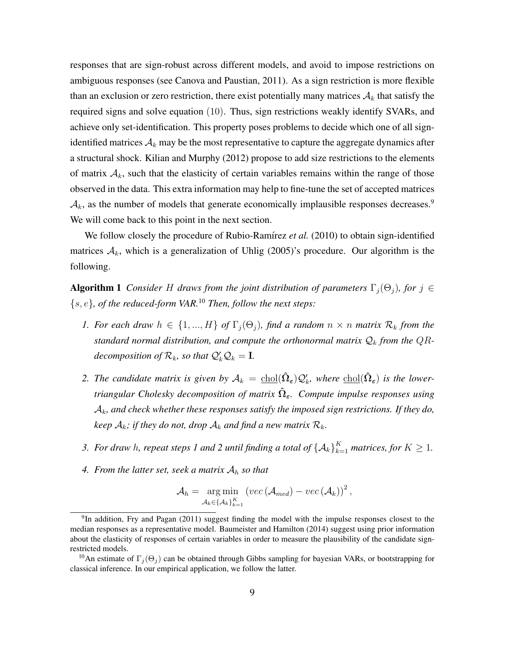responses that are sign-robust across different models, and avoid to impose restrictions on ambiguous responses (see Canova and Paustian, 2011). As a sign restriction is more flexible than an exclusion or zero restriction, there exist potentially many matrices  $A_k$  that satisfy the required signs and solve equation (10). Thus, sign restrictions weakly identify SVARs, and achieve only set-identification. This property poses problems to decide which one of all signidentified matrices  $A_k$  may be the most representative to capture the aggregate dynamics after a structural shock. Kilian and Murphy (2012) propose to add size restrictions to the elements of matrix  $A_k$ , such that the elasticity of certain variables remains within the range of those observed in the data. This extra information may help to fine-tune the set of accepted matrices  $\mathcal{A}_k$ , as the number of models that generate economically implausible responses decreases.<sup>9</sup> We will come back to this point in the next section.

We follow closely the procedure of Rubio-Ramírez et al. (2010) to obtain sign-identified matrices  $A_k$ , which is a generalization of Uhlig (2005)'s procedure. Our algorithm is the following.

**Algorithm 1** *Consider H draws from the joint distribution of parameters*  $\Gamma_i(\Theta_i)$ *, for*  $j \in$  ${s, e}$ *, of the reduced-form VAR.*<sup>10</sup> *Then, follow the next steps:* 

- *1. For each draw*  $h \in \{1, ..., H\}$  *of*  $\Gamma_j(\Theta_j)$ *, find a random*  $n \times n$  *matrix*  $\mathcal{R}_k$  *from the* standard normal distribution, and compute the orthonormal matrix  $Q_k$  from the  $QR$ *decomposition of*  $\mathcal{R}_k$ *, so that*  $\mathcal{Q}'_k \mathcal{Q}_k = I$ *.*
- 2. The candidate matrix is given by  $A_k = \text{chol}(\hat{\Omega}_\varepsilon) \mathcal{Q}_k'$ , where  $\text{chol}(\hat{\Omega}_\varepsilon)$  is the lower*triangular Cholesky decomposition of matrix*  $\hat{\Omega}_{\epsilon}$ *. Compute impulse responses using* Ak*, and check whether these responses satisfy the imposed sign restrictions. If they do, keep*  $A_k$ *; if they do not, drop*  $A_k$  *and find a new matrix*  $R_k$ *.*
- 3. For draw h, repeat steps 1 and 2 until finding a total of  ${A_k}_{k=1}^K$  matrices, for  $K \geq 1$ .
- 4. From the latter set, seek a matrix  $A_h$  so that

$$
\mathcal{A}_h = \underset{\mathcal{A}_k \in \{\mathcal{A}_k\}_{k=1}^K}{\arg \min} \left( vec \left( \mathcal{A}_{med} \right) - vec \left( \mathcal{A}_k \right) \right)^2,
$$

<sup>&</sup>lt;sup>9</sup>In addition, Fry and Pagan (2011) suggest finding the model with the impulse responses closest to the median responses as a representative model. Baumeister and Hamilton (2014) suggest using prior information about the elasticity of responses of certain variables in order to measure the plausibility of the candidate signrestricted models.

<sup>&</sup>lt;sup>10</sup>An estimate of  $\Gamma_i(\Theta_i)$  can be obtained through Gibbs sampling for bayesian VARs, or bootstrapping for classical inference. In our empirical application, we follow the latter.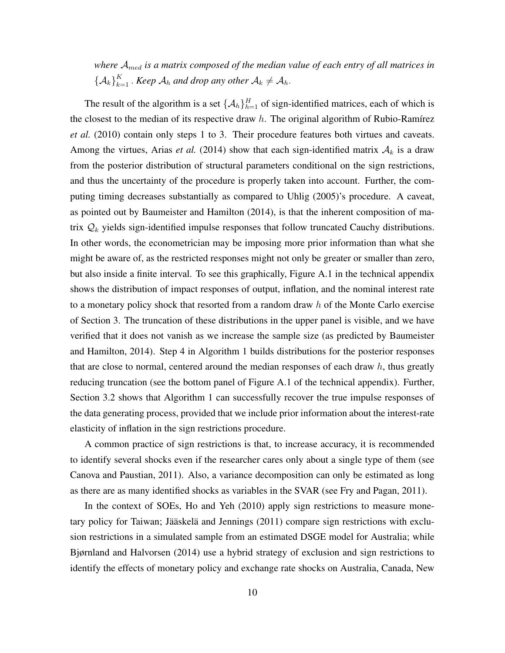*where* Amed *is a matrix composed of the median value of each entry of all matrices in*  ${ \{ {\cal A}_k \}}_{k=1}^K$ . *Keep*  ${\cal A}_h$  *and drop any other*  ${\cal A}_k \neq {\cal A}_h$ .

The result of the algorithm is a set  $\{\mathcal{A}_h\}_{h=1}^H$  of sign-identified matrices, each of which is the closest to the median of its respective draw  $h$ . The original algorithm of Rubio-Ramírez *et al.* (2010) contain only steps 1 to 3. Their procedure features both virtues and caveats. Among the virtues, Arias *et al.* (2014) show that each sign-identified matrix  $A_k$  is a draw from the posterior distribution of structural parameters conditional on the sign restrictions, and thus the uncertainty of the procedure is properly taken into account. Further, the computing timing decreases substantially as compared to Uhlig (2005)'s procedure. A caveat, as pointed out by Baumeister and Hamilton (2014), is that the inherent composition of matrix  $\mathcal{Q}_k$  yields sign-identified impulse responses that follow truncated Cauchy distributions. In other words, the econometrician may be imposing more prior information than what she might be aware of, as the restricted responses might not only be greater or smaller than zero, but also inside a finite interval. To see this graphically, Figure A.1 in the technical appendix shows the distribution of impact responses of output, inflation, and the nominal interest rate to a monetary policy shock that resorted from a random draw  $h$  of the Monte Carlo exercise of Section 3. The truncation of these distributions in the upper panel is visible, and we have verified that it does not vanish as we increase the sample size (as predicted by Baumeister and Hamilton, 2014). Step 4 in Algorithm 1 builds distributions for the posterior responses that are close to normal, centered around the median responses of each draw  $h$ , thus greatly reducing truncation (see the bottom panel of Figure A.1 of the technical appendix). Further, Section 3.2 shows that Algorithm 1 can successfully recover the true impulse responses of the data generating process, provided that we include prior information about the interest-rate elasticity of inflation in the sign restrictions procedure.

A common practice of sign restrictions is that, to increase accuracy, it is recommended to identify several shocks even if the researcher cares only about a single type of them (see Canova and Paustian, 2011). Also, a variance decomposition can only be estimated as long as there are as many identified shocks as variables in the SVAR (see Fry and Pagan, 2011).

In the context of SOEs, Ho and Yeh (2010) apply sign restrictions to measure monetary policy for Taiwan; Jääskelä and Jennings (2011) compare sign restrictions with exclusion restrictions in a simulated sample from an estimated DSGE model for Australia; while Bjørnland and Halvorsen (2014) use a hybrid strategy of exclusion and sign restrictions to identify the effects of monetary policy and exchange rate shocks on Australia, Canada, New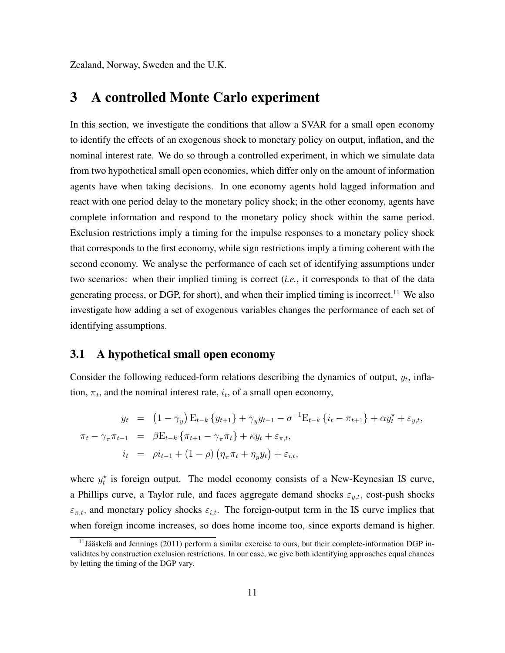Zealand, Norway, Sweden and the U.K.

## 3 A controlled Monte Carlo experiment

In this section, we investigate the conditions that allow a SVAR for a small open economy to identify the effects of an exogenous shock to monetary policy on output, inflation, and the nominal interest rate. We do so through a controlled experiment, in which we simulate data from two hypothetical small open economies, which differ only on the amount of information agents have when taking decisions. In one economy agents hold lagged information and react with one period delay to the monetary policy shock; in the other economy, agents have complete information and respond to the monetary policy shock within the same period. Exclusion restrictions imply a timing for the impulse responses to a monetary policy shock that corresponds to the first economy, while sign restrictions imply a timing coherent with the second economy. We analyse the performance of each set of identifying assumptions under two scenarios: when their implied timing is correct (*i.e.*, it corresponds to that of the data generating process, or DGP, for short), and when their implied timing is incorrect.<sup>11</sup> We also investigate how adding a set of exogenous variables changes the performance of each set of identifying assumptions.

### 3.1 A hypothetical small open economy

Consider the following reduced-form relations describing the dynamics of output,  $y_t$ , inflation,  $\pi_t$ , and the nominal interest rate,  $i_t$ , of a small open economy,

$$
y_t = (1 - \gamma_y) E_{t-k} \{ y_{t+1} \} + \gamma_y y_{t-1} - \sigma^{-1} E_{t-k} \{ i_t - \pi_{t+1} \} + \alpha y_t^* + \varepsilon_{y,t},
$$
  

$$
\pi_t - \gamma_\pi \pi_{t-1} = \beta E_{t-k} \{ \pi_{t+1} - \gamma_\pi \pi_t \} + \kappa y_t + \varepsilon_{\pi,t},
$$
  

$$
i_t = \rho i_{t-1} + (1 - \rho) \left( \eta_\pi \pi_t + \eta_y y_t \right) + \varepsilon_{i,t},
$$

where  $y_t^*$  is foreign output. The model economy consists of a New-Keynesian IS curve, a Phillips curve, a Taylor rule, and faces aggregate demand shocks  $\varepsilon_{y,t}$ , cost-push shocks  $\varepsilon_{\pi,t}$ , and monetary policy shocks  $\varepsilon_{i,t}$ . The foreign-output term in the IS curve implies that when foreign income increases, so does home income too, since exports demand is higher.

<sup>&</sup>lt;sup>11</sup>Jääskelä and Jennings (2011) perform a similar exercise to ours, but their complete-information DGP invalidates by construction exclusion restrictions. In our case, we give both identifying approaches equal chances by letting the timing of the DGP vary.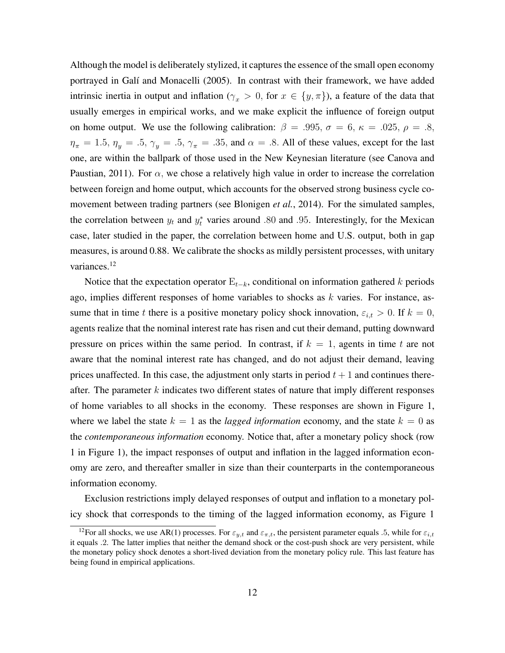Although the model is deliberately stylized, it captures the essence of the small open economy portrayed in Galí and Monacelli (2005). In contrast with their framework, we have added intrinsic inertia in output and inflation ( $\gamma_x > 0$ , for  $x \in \{y, \pi\}$ ), a feature of the data that usually emerges in empirical works, and we make explicit the influence of foreign output on home output. We use the following calibration:  $\beta = .995$ ,  $\sigma = 6$ ,  $\kappa = .025$ ,  $\rho = .8$ ,  $\eta_{\pi} = 1.5$ ,  $\eta_y = .5$ ,  $\gamma_y = .5$ ,  $\gamma_{\pi} = .35$ , and  $\alpha = .8$ . All of these values, except for the last one, are within the ballpark of those used in the New Keynesian literature (see Canova and Paustian, 2011). For  $\alpha$ , we chose a relatively high value in order to increase the correlation between foreign and home output, which accounts for the observed strong business cycle comovement between trading partners (see Blonigen *et al.*, 2014). For the simulated samples, the correlation between  $y_t$  and  $y_t^*$  varies around .80 and .95. Interestingly, for the Mexican case, later studied in the paper, the correlation between home and U.S. output, both in gap measures, is around 0.88. We calibrate the shocks as mildly persistent processes, with unitary variances.<sup>12</sup>

Notice that the expectation operator  $E_{t-k}$ , conditional on information gathered k periods ago, implies different responses of home variables to shocks as  $k$  varies. For instance, assume that in time t there is a positive monetary policy shock innovation,  $\varepsilon_{i,t} > 0$ . If  $k = 0$ , agents realize that the nominal interest rate has risen and cut their demand, putting downward pressure on prices within the same period. In contrast, if  $k = 1$ , agents in time t are not aware that the nominal interest rate has changed, and do not adjust their demand, leaving prices unaffected. In this case, the adjustment only starts in period  $t + 1$  and continues thereafter. The parameter  $k$  indicates two different states of nature that imply different responses of home variables to all shocks in the economy. These responses are shown in Figure 1, where we label the state  $k = 1$  as the *lagged information* economy, and the state  $k = 0$  as the *contemporaneous information* economy. Notice that, after a monetary policy shock (row 1 in Figure 1), the impact responses of output and inflation in the lagged information economy are zero, and thereafter smaller in size than their counterparts in the contemporaneous information economy.

Exclusion restrictions imply delayed responses of output and inflation to a monetary policy shock that corresponds to the timing of the lagged information economy, as Figure 1

<sup>&</sup>lt;sup>12</sup>For all shocks, we use AR(1) processes. For  $\varepsilon_{y,t}$  and  $\varepsilon_{\pi,t}$ , the persistent parameter equals .5, while for  $\varepsilon_{i,t}$ it equals .2. The latter implies that neither the demand shock or the cost-push shock are very persistent, while the monetary policy shock denotes a short-lived deviation from the monetary policy rule. This last feature has being found in empirical applications.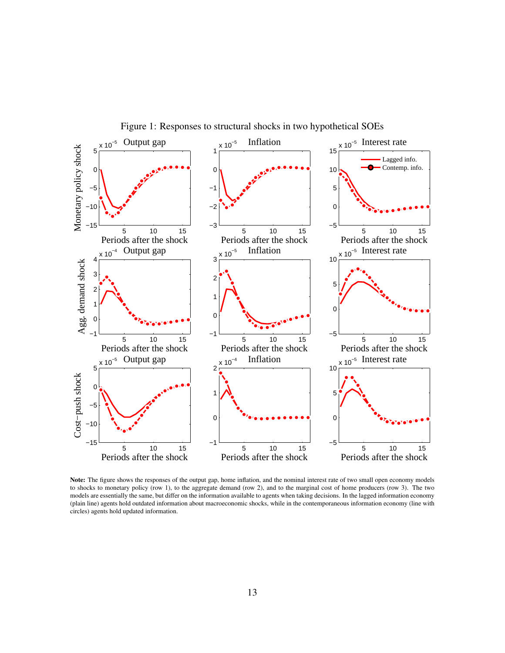

Figure 1: Responses to structural shocks in two hypothetical SOEs

Note: The figure shows the responses of the output gap, home inflation, and the nominal interest rate of two small open economy models to shocks to monetary policy (row 1), to the aggregate demand (row 2), and to the marginal cost of home producers (row 3). The two models are essentially the same, but differ on the information available to agents when taking decisions. In the lagged information economy (plain line) agents hold outdated information about macroeconomic shocks, while in the contemporaneous information economy (line with circles) agents hold updated information.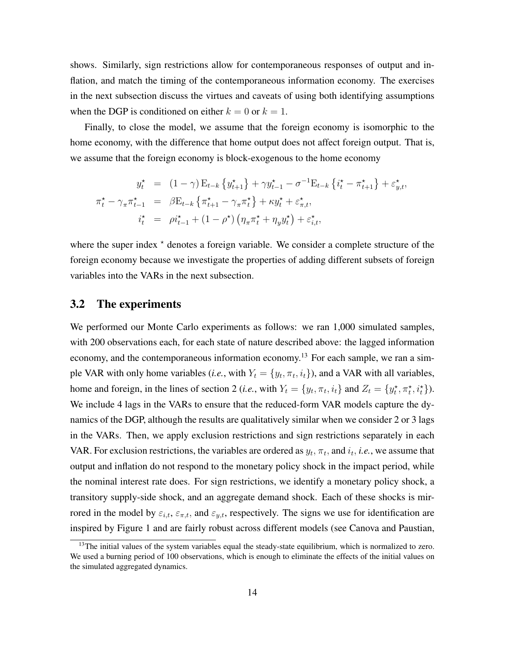shows. Similarly, sign restrictions allow for contemporaneous responses of output and inflation, and match the timing of the contemporaneous information economy. The exercises in the next subsection discuss the virtues and caveats of using both identifying assumptions when the DGP is conditioned on either  $k = 0$  or  $k = 1$ .

Finally, to close the model, we assume that the foreign economy is isomorphic to the home economy, with the difference that home output does not affect foreign output. That is, we assume that the foreign economy is block-exogenous to the home economy

$$
y_t^* = (1 - \gamma) E_{t-k} \{ y_{t+1}^* \} + \gamma y_{t-1}^* - \sigma^{-1} E_{t-k} \{ i_t^* - \pi_{t+1}^* \} + \varepsilon_{y,t}^*,
$$
  

$$
\pi_t^* - \gamma_\pi \pi_{t-1}^* = \beta E_{t-k} \{ \pi_{t+1}^* - \gamma_\pi \pi_t^* \} + \kappa y_t^* + \varepsilon_{\pi,t}^*,
$$
  

$$
i_t^* = \rho i_{t-1}^* + (1 - \rho^*) \left( \eta_\pi \pi_t^* + \eta_y y_t^* \right) + \varepsilon_{i,t}^*,
$$

where the super index  $*$  denotes a foreign variable. We consider a complete structure of the foreign economy because we investigate the properties of adding different subsets of foreign variables into the VARs in the next subsection.

### 3.2 The experiments

We performed our Monte Carlo experiments as follows: we ran 1,000 simulated samples, with 200 observations each, for each state of nature described above: the lagged information economy, and the contemporaneous information economy.<sup>13</sup> For each sample, we ran a simple VAR with only home variables (*i.e.*, with  $Y_t = \{y_t, \pi_t, i_t\}$ ), and a VAR with all variables, home and foreign, in the lines of section 2 (*i.e.*, with  $Y_t = \{y_t, \pi_t, i_t\}$  and  $Z_t = \{y_t^*, \pi_t^*, i_t^*\}$ ). We include 4 lags in the VARs to ensure that the reduced-form VAR models capture the dynamics of the DGP, although the results are qualitatively similar when we consider 2 or 3 lags in the VARs. Then, we apply exclusion restrictions and sign restrictions separately in each VAR. For exclusion restrictions, the variables are ordered as  $y_t$ ,  $\pi_t$ , and  $i_t$ , *i.e.*, we assume that output and inflation do not respond to the monetary policy shock in the impact period, while the nominal interest rate does. For sign restrictions, we identify a monetary policy shock, a transitory supply-side shock, and an aggregate demand shock. Each of these shocks is mirrored in the model by  $\varepsilon_{i,t}$ ,  $\varepsilon_{\pi,t}$ , and  $\varepsilon_{y,t}$ , respectively. The signs we use for identification are inspired by Figure 1 and are fairly robust across different models (see Canova and Paustian,

 $13$ The initial values of the system variables equal the steady-state equilibrium, which is normalized to zero. We used a burning period of 100 observations, which is enough to eliminate the effects of the initial values on the simulated aggregated dynamics.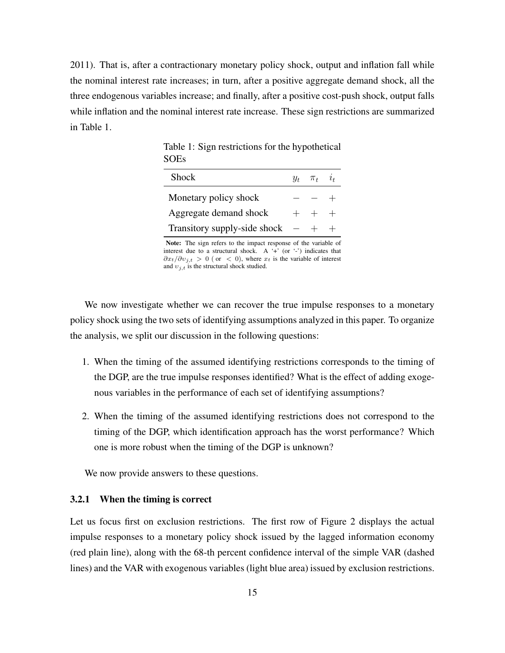2011). That is, after a contractionary monetary policy shock, output and inflation fall while the nominal interest rate increases; in turn, after a positive aggregate demand shock, all the three endogenous variables increase; and finally, after a positive cost-push shock, output falls while inflation and the nominal interest rate increase. These sign restrictions are summarized in Table 1.

| Shock                        | $y_t$ $\pi_t$ | $\iota_{\iota}$ |
|------------------------------|---------------|-----------------|
| Monetary policy shock        |               |                 |
| Aggregate demand shock       | $+$ $+$ $+$   |                 |
| Transitory supply-side shock |               |                 |

Table 1: Sign restrictions for the hypothetical SOEs

Note: The sign refers to the impact response of the variable of interest due to a structural shock. A '+' (or '-') indicates that  $\frac{\partial x_t}{\partial v_{i,t}} > 0$  (or < 0), where  $x_t$  is the variable of interest and  $v_{j,t}$  is the structural shock studied.

We now investigate whether we can recover the true impulse responses to a monetary policy shock using the two sets of identifying assumptions analyzed in this paper. To organize the analysis, we split our discussion in the following questions:

- 1. When the timing of the assumed identifying restrictions corresponds to the timing of the DGP, are the true impulse responses identified? What is the effect of adding exogenous variables in the performance of each set of identifying assumptions?
- 2. When the timing of the assumed identifying restrictions does not correspond to the timing of the DGP, which identification approach has the worst performance? Which one is more robust when the timing of the DGP is unknown?

We now provide answers to these questions.

#### 3.2.1 When the timing is correct

Let us focus first on exclusion restrictions. The first row of Figure 2 displays the actual impulse responses to a monetary policy shock issued by the lagged information economy (red plain line), along with the 68-th percent confidence interval of the simple VAR (dashed lines) and the VAR with exogenous variables (light blue area) issued by exclusion restrictions.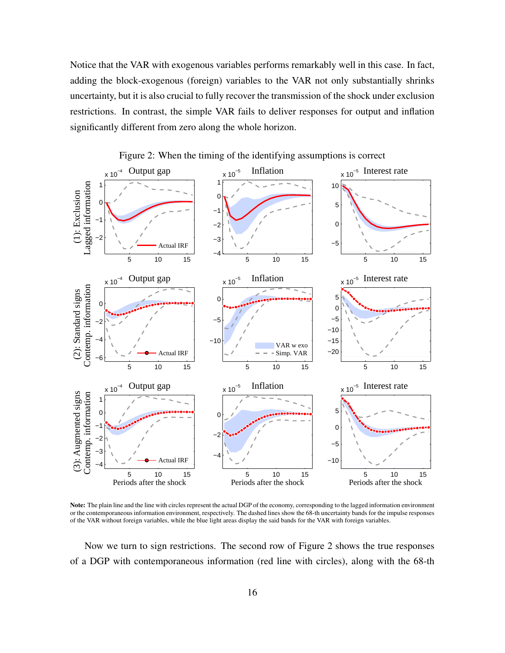Notice that the VAR with exogenous variables performs remarkably well in this case. In fact, adding the block-exogenous (foreign) variables to the VAR not only substantially shrinks uncertainty, but it is also crucial to fully recover the transmission of the shock under exclusion restrictions. In contrast, the simple VAR fails to deliver responses for output and inflation significantly different from zero along the whole horizon.



Figure 2: When the timing of the identifying assumptions is correct

Note: The plain line and the line with circles represent the actual DGP of the economy, corresponding to the lagged information environment or the contemporaneous information environment, respectively. The dashed lines show the 68-th uncertainty bands for the impulse responses of the VAR without foreign variables, while the blue light areas display the said bands for the VAR with foreign variables.

Now we turn to sign restrictions. The second row of Figure 2 shows the true responses of a DGP with contemporaneous information (red line with circles), along with the 68-th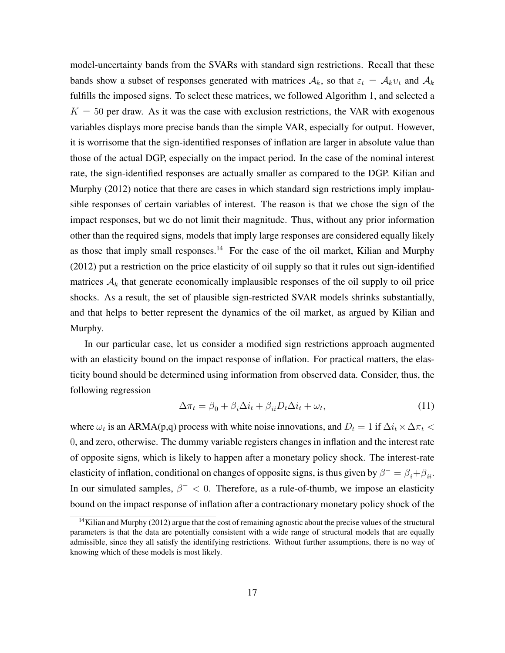model-uncertainty bands from the SVARs with standard sign restrictions. Recall that these bands show a subset of responses generated with matrices  $A_k$ , so that  $\varepsilon_t = A_k v_t$  and  $A_k$ fulfills the imposed signs. To select these matrices, we followed Algorithm 1, and selected a  $K = 50$  per draw. As it was the case with exclusion restrictions, the VAR with exogenous variables displays more precise bands than the simple VAR, especially for output. However, it is worrisome that the sign-identified responses of inflation are larger in absolute value than those of the actual DGP, especially on the impact period. In the case of the nominal interest rate, the sign-identified responses are actually smaller as compared to the DGP. Kilian and Murphy (2012) notice that there are cases in which standard sign restrictions imply implausible responses of certain variables of interest. The reason is that we chose the sign of the impact responses, but we do not limit their magnitude. Thus, without any prior information other than the required signs, models that imply large responses are considered equally likely as those that imply small responses.<sup>14</sup> For the case of the oil market, Kilian and Murphy (2012) put a restriction on the price elasticity of oil supply so that it rules out sign-identified matrices  $A_k$  that generate economically implausible responses of the oil supply to oil price shocks. As a result, the set of plausible sign-restricted SVAR models shrinks substantially, and that helps to better represent the dynamics of the oil market, as argued by Kilian and Murphy.

In our particular case, let us consider a modified sign restrictions approach augmented with an elasticity bound on the impact response of inflation. For practical matters, the elasticity bound should be determined using information from observed data. Consider, thus, the following regression

$$
\Delta \pi_t = \beta_0 + \beta_i \Delta i_t + \beta_{ii} D_t \Delta i_t + \omega_t, \qquad (11)
$$

where  $\omega_t$  is an ARMA(p,q) process with white noise innovations, and  $D_t = 1$  if  $\Delta i_t \times \Delta \pi_t$ 0, and zero, otherwise. The dummy variable registers changes in inflation and the interest rate of opposite signs, which is likely to happen after a monetary policy shock. The interest-rate elasticity of inflation, conditional on changes of opposite signs, is thus given by  $\beta^- = \beta_i + \beta_{ii}$ . In our simulated samples,  $\beta^{-} < 0$ . Therefore, as a rule-of-thumb, we impose an elasticity bound on the impact response of inflation after a contractionary monetary policy shock of the

 $14$ Kilian and Murphy (2012) argue that the cost of remaining agnostic about the precise values of the structural parameters is that the data are potentially consistent with a wide range of structural models that are equally admissible, since they all satisfy the identifying restrictions. Without further assumptions, there is no way of knowing which of these models is most likely.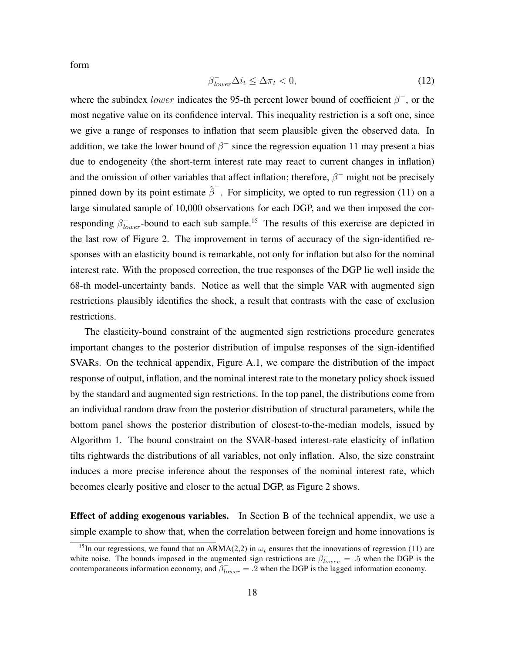form

$$
\beta_{lower}^- \Delta i_t \le \Delta \pi_t < 0,\tag{12}
$$

where the subindex *lower* indicates the 95-th percent lower bound of coefficient  $\beta^-$ , or the most negative value on its confidence interval. This inequality restriction is a soft one, since we give a range of responses to inflation that seem plausible given the observed data. In addition, we take the lower bound of  $\beta^-$  since the regression equation 11 may present a bias due to endogeneity (the short-term interest rate may react to current changes in inflation) and the omission of other variables that affect inflation; therefore,  $\beta^-$  might not be precisely pinned down by its point estimate  $\hat{\beta}^{-}$ . For simplicity, we opted to run regression (11) on a large simulated sample of 10,000 observations for each DGP, and we then imposed the corresponding  $\beta_{lower}^-$ -bound to each sub sample.<sup>15</sup> The results of this exercise are depicted in the last row of Figure 2. The improvement in terms of accuracy of the sign-identified responses with an elasticity bound is remarkable, not only for inflation but also for the nominal interest rate. With the proposed correction, the true responses of the DGP lie well inside the 68-th model-uncertainty bands. Notice as well that the simple VAR with augmented sign restrictions plausibly identifies the shock, a result that contrasts with the case of exclusion restrictions.

The elasticity-bound constraint of the augmented sign restrictions procedure generates important changes to the posterior distribution of impulse responses of the sign-identified SVARs. On the technical appendix, Figure A.1, we compare the distribution of the impact response of output, inflation, and the nominal interest rate to the monetary policy shock issued by the standard and augmented sign restrictions. In the top panel, the distributions come from an individual random draw from the posterior distribution of structural parameters, while the bottom panel shows the posterior distribution of closest-to-the-median models, issued by Algorithm 1. The bound constraint on the SVAR-based interest-rate elasticity of inflation tilts rightwards the distributions of all variables, not only inflation. Also, the size constraint induces a more precise inference about the responses of the nominal interest rate, which becomes clearly positive and closer to the actual DGP, as Figure 2 shows.

Effect of adding exogenous variables. In Section B of the technical appendix, we use a simple example to show that, when the correlation between foreign and home innovations is

<sup>&</sup>lt;sup>15</sup>In our regressions, we found that an ARMA(2,2) in  $\omega_t$  ensures that the innovations of regression (11) are white noise. The bounds imposed in the augmented sign restrictions are  $\beta_{lower}^- = .5$  when the DGP is the contemporaneous information economy, and  $\beta_{lower}^- = .2$  when the DGP is the lagged information economy.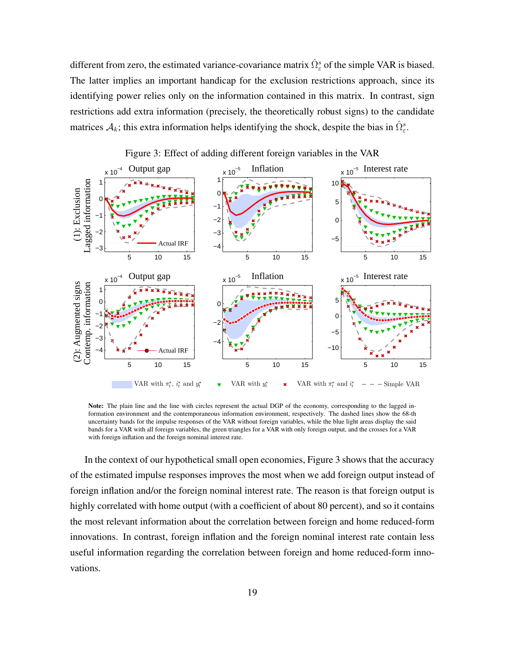different from zero, the estimated variance-covariance matrix  $\hat{\Omega}_{\varepsilon}^{s}$  of the simple VAR is biased. The latter implies an important handicap for the exclusion restrictions approach, since its identifying power relies only on the information contained in this matrix. In contrast, sign restrictions add extra information (precisely, the theoretically robust signs) to the candidate matrices  $A_k$ ; this extra information helps identifying the shock, despite the bias in  $\hat{\Omega}_{\varepsilon}^s$ .



Figure 3: Effect of adding different foreign variables in the VAR

Note: The plain line and the line with circles represent the actual DGP of the economy, corresponding to the lagged information environment and the contemporaneous information environment, respectively. The dashed lines show the 68-th uncertainty bands for the impulse responses of the VAR without foreign variables, while the blue light areas display the said bands for a VAR with all foreign variables, the green triangles for a VAR with only foreign output, and the crosses for a VAR with foreign inflation and the foreign nominal interest rate.

In the context of our hypothetical small open economies, Figure 3 shows that the accuracy of the estimated impulse responses improves the most when we add foreign output instead of foreign inflation and/or the foreign nominal interest rate. The reason is that foreign output is highly correlated with home output (with a coefficient of about 80 percent), and so it contains the most relevant information about the correlation between foreign and home reduced-form innovations. In contrast, foreign inflation and the foreign nominal interest rate contain less useful information regarding the correlation between foreign and home reduced-form innovations.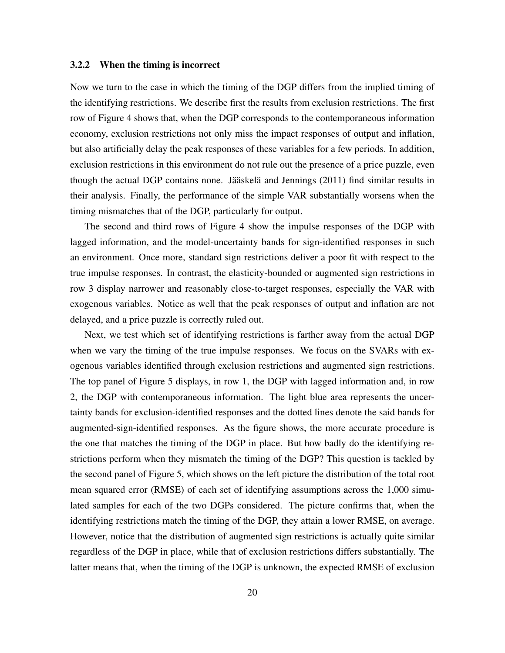#### 3.2.2 When the timing is incorrect

Now we turn to the case in which the timing of the DGP differs from the implied timing of the identifying restrictions. We describe first the results from exclusion restrictions. The first row of Figure 4 shows that, when the DGP corresponds to the contemporaneous information economy, exclusion restrictions not only miss the impact responses of output and inflation, but also artificially delay the peak responses of these variables for a few periods. In addition, exclusion restrictions in this environment do not rule out the presence of a price puzzle, even though the actual DGP contains none. Jääskelä and Jennings  $(2011)$  find similar results in their analysis. Finally, the performance of the simple VAR substantially worsens when the timing mismatches that of the DGP, particularly for output.

The second and third rows of Figure 4 show the impulse responses of the DGP with lagged information, and the model-uncertainty bands for sign-identified responses in such an environment. Once more, standard sign restrictions deliver a poor fit with respect to the true impulse responses. In contrast, the elasticity-bounded or augmented sign restrictions in row 3 display narrower and reasonably close-to-target responses, especially the VAR with exogenous variables. Notice as well that the peak responses of output and inflation are not delayed, and a price puzzle is correctly ruled out.

Next, we test which set of identifying restrictions is farther away from the actual DGP when we vary the timing of the true impulse responses. We focus on the SVARs with exogenous variables identified through exclusion restrictions and augmented sign restrictions. The top panel of Figure 5 displays, in row 1, the DGP with lagged information and, in row 2, the DGP with contemporaneous information. The light blue area represents the uncertainty bands for exclusion-identified responses and the dotted lines denote the said bands for augmented-sign-identified responses. As the figure shows, the more accurate procedure is the one that matches the timing of the DGP in place. But how badly do the identifying restrictions perform when they mismatch the timing of the DGP? This question is tackled by the second panel of Figure 5, which shows on the left picture the distribution of the total root mean squared error (RMSE) of each set of identifying assumptions across the 1,000 simulated samples for each of the two DGPs considered. The picture confirms that, when the identifying restrictions match the timing of the DGP, they attain a lower RMSE, on average. However, notice that the distribution of augmented sign restrictions is actually quite similar regardless of the DGP in place, while that of exclusion restrictions differs substantially. The latter means that, when the timing of the DGP is unknown, the expected RMSE of exclusion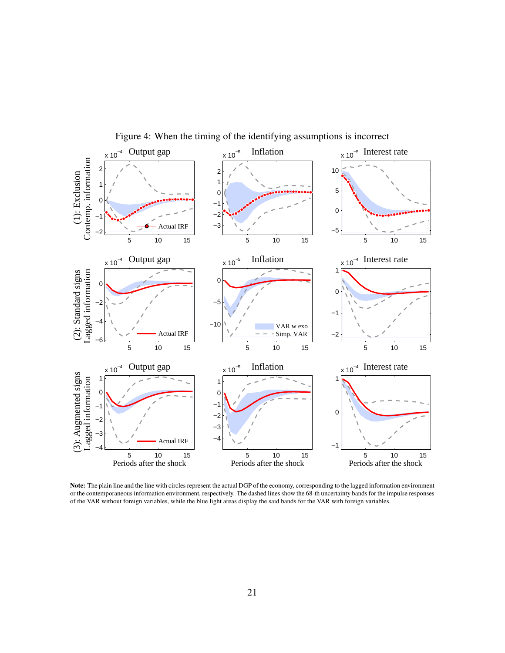

Figure 4: When the timing of the identifying assumptions is incorrect

Note: The plain line and the line with circles represent the actual DGP of the economy, corresponding to the lagged information environment or the contemporaneous information environment, respectively. The dashed lines show the 68-th uncertainty bands for the impulse responses of the VAR without foreign variables, while the blue light areas display the said bands for the VAR with foreign variables.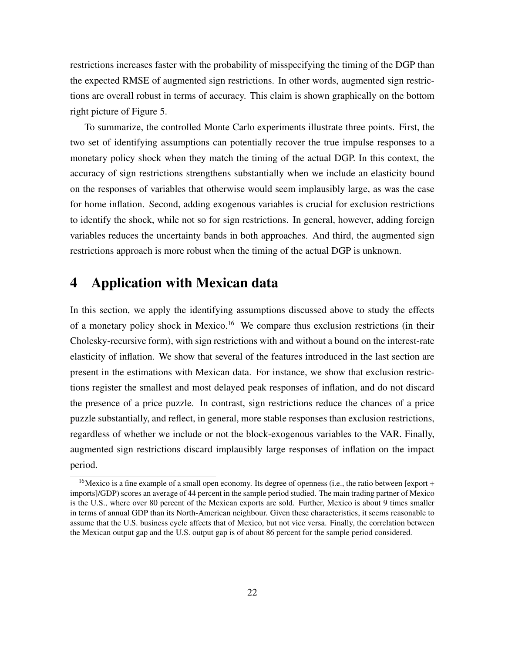restrictions increases faster with the probability of misspecifying the timing of the DGP than the expected RMSE of augmented sign restrictions. In other words, augmented sign restrictions are overall robust in terms of accuracy. This claim is shown graphically on the bottom right picture of Figure 5.

To summarize, the controlled Monte Carlo experiments illustrate three points. First, the two set of identifying assumptions can potentially recover the true impulse responses to a monetary policy shock when they match the timing of the actual DGP. In this context, the accuracy of sign restrictions strengthens substantially when we include an elasticity bound on the responses of variables that otherwise would seem implausibly large, as was the case for home inflation. Second, adding exogenous variables is crucial for exclusion restrictions to identify the shock, while not so for sign restrictions. In general, however, adding foreign variables reduces the uncertainty bands in both approaches. And third, the augmented sign restrictions approach is more robust when the timing of the actual DGP is unknown.

## 4 Application with Mexican data

In this section, we apply the identifying assumptions discussed above to study the effects of a monetary policy shock in Mexico.<sup>16</sup> We compare thus exclusion restrictions (in their Cholesky-recursive form), with sign restrictions with and without a bound on the interest-rate elasticity of inflation. We show that several of the features introduced in the last section are present in the estimations with Mexican data. For instance, we show that exclusion restrictions register the smallest and most delayed peak responses of inflation, and do not discard the presence of a price puzzle. In contrast, sign restrictions reduce the chances of a price puzzle substantially, and reflect, in general, more stable responses than exclusion restrictions, regardless of whether we include or not the block-exogenous variables to the VAR. Finally, augmented sign restrictions discard implausibly large responses of inflation on the impact period.

<sup>&</sup>lt;sup>16</sup>Mexico is a fine example of a small open economy. Its degree of openness (i.e., the ratio between [export + imports]/GDP) scores an average of 44 percent in the sample period studied. The main trading partner of Mexico is the U.S., where over 80 percent of the Mexican exports are sold. Further, Mexico is about 9 times smaller in terms of annual GDP than its North-American neighbour. Given these characteristics, it seems reasonable to assume that the U.S. business cycle affects that of Mexico, but not vice versa. Finally, the correlation between the Mexican output gap and the U.S. output gap is of about 86 percent for the sample period considered.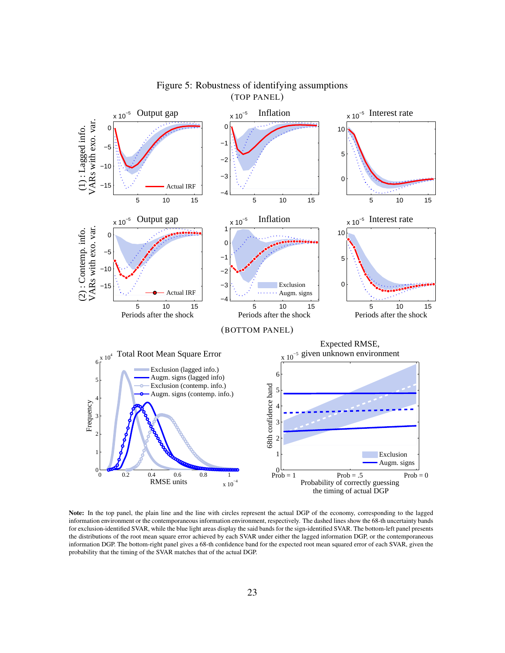

Figure 5: Robustness of identifying assumptions (TOP PANEL)

Note: In the top panel, the plain line and the line with circles represent the actual DGP of the economy, corresponding to the lagged information environment or the contemporaneous information environment, respectively. The dashed lines show the 68-th uncertainty bands for exclusion-identified SVAR, while the blue light areas display the said bands for the sign-identified SVAR. The bottom-left panel presents the distributions of the root mean square error achieved by each SVAR under either the lagged information DGP, or the contemporaneous information DGP. The bottom-right panel gives a 68-th confidence band for the expected root mean squared error of each SVAR, given the probability that the timing of the SVAR matches that of the actual DGP.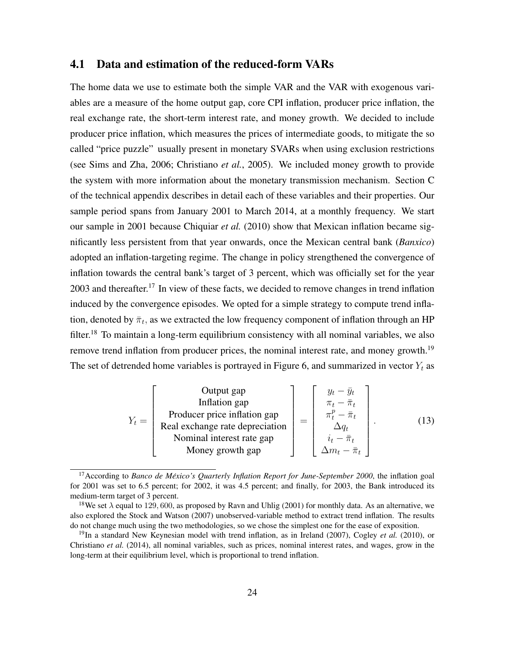### 4.1 Data and estimation of the reduced-form VARs

The home data we use to estimate both the simple VAR and the VAR with exogenous variables are a measure of the home output gap, core CPI inflation, producer price inflation, the real exchange rate, the short-term interest rate, and money growth. We decided to include producer price inflation, which measures the prices of intermediate goods, to mitigate the so called "price puzzle" usually present in monetary SVARs when using exclusion restrictions (see Sims and Zha, 2006; Christiano *et al.*, 2005). We included money growth to provide the system with more information about the monetary transmission mechanism. Section C of the technical appendix describes in detail each of these variables and their properties. Our sample period spans from January 2001 to March 2014, at a monthly frequency. We start our sample in 2001 because Chiquiar *et al.* (2010) show that Mexican inflation became significantly less persistent from that year onwards, once the Mexican central bank (*Banxico*) adopted an inflation-targeting regime. The change in policy strengthened the convergence of inflation towards the central bank's target of 3 percent, which was officially set for the year  $2003$  and thereafter.<sup>17</sup> In view of these facts, we decided to remove changes in trend inflation induced by the convergence episodes. We opted for a simple strategy to compute trend inflation, denoted by  $\bar{\pi}_t$ , as we extracted the low frequency component of inflation through an HP filter.<sup>18</sup> To maintain a long-term equilibrium consistency with all nominal variables, we also remove trend inflation from producer prices, the nominal interest rate, and money growth.<sup>19</sup> The set of detrended home variables is portrayed in Figure 6, and summarized in vector  $Y_t$  as

| Output gap                      | $y_t - \bar{y}_t$          |                       |
|---------------------------------|----------------------------|-----------------------|
| $Y_t =$                         | Production gap             | $\pi_t - \bar{\pi}_t$ |
| Real exchange rate depreciation | $\pi_t^p - \bar{\pi}_t$    |                       |
| Nominal interest rate gap       | $\Delta q_t$               |                       |
| Money growth gap                | $\Delta m_t - \bar{\pi}_t$ |                       |

<sup>&</sup>lt;sup>17</sup> According to *Banco de México's Quarterly Inflation Report for June-September 2000*, the inflation goal for 2001 was set to 6.5 percent; for 2002, it was 4.5 percent; and finally, for 2003, the Bank introduced its medium-term target of 3 percent.

<sup>&</sup>lt;sup>18</sup>We set  $\lambda$  equal to 129, 600, as proposed by Ravn and Uhlig (2001) for monthly data. As an alternative, we also explored the Stock and Watson (2007) unobserved-variable method to extract trend inflation. The results do not change much using the two methodologies, so we chose the simplest one for the ease of exposition.

<sup>&</sup>lt;sup>19</sup>In a standard New Keynesian model with trend inflation, as in Ireland (2007), Cogley *et al.* (2010), or Christiano *et al.* (2014), all nominal variables, such as prices, nominal interest rates, and wages, grow in the long-term at their equilibrium level, which is proportional to trend inflation.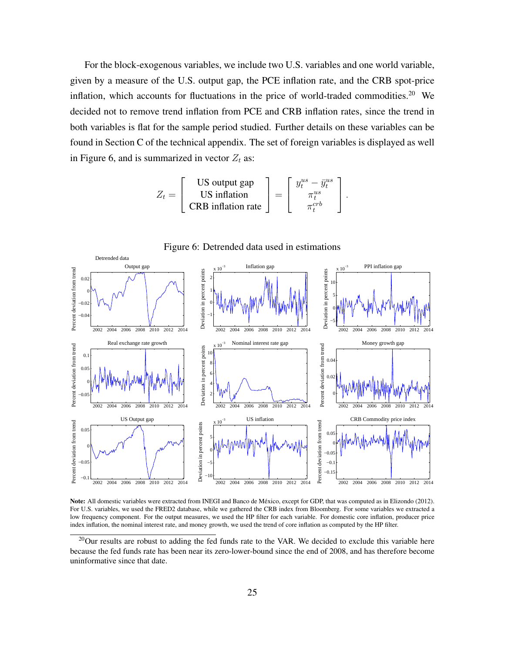For the block-exogenous variables, we include two U.S. variables and one world variable, given by a measure of the U.S. output gap, the PCE inflation rate, and the CRB spot-price inflation, which accounts for fluctuations in the price of world-traded commodities.<sup>20</sup> We decided not to remove trend inflation from PCE and CRB inflation rates, since the trend in both variables is flat for the sample period studied. Further details on these variables can be found in Section C of the technical appendix. The set of foreign variables is displayed as well in Figure 6, and is summarized in vector  $Z_t$  as:

$$
Z_t = \begin{bmatrix} \text{US output gap} \\ \text{US inflation} \\ \text{CRB inflation rate} \end{bmatrix} = \begin{bmatrix} y_t^{us} - \bar{y}_t^{us} \\ \pi_t^{us} \\ \pi_t^{cr} \end{bmatrix}.
$$



Note: All domestic variables were extracted from INEGI and Banco de Mexico, except for GDP, that was computed as in Elizondo (2012). ´ For U.S. variables, we used the FRED2 database, while we gathered the CRB index from Bloomberg. For some variables we extracted a low frequency component. For the output measures, we used the HP filter for each variable. For domestic core inflation, producer price index inflation, the nominal interest rate, and money growth, we used the trend of core inflation as computed by the HP filter.

<sup>&</sup>lt;sup>20</sup>Our results are robust to adding the fed funds rate to the VAR. We decided to exclude this variable here because the fed funds rate has been near its zero-lower-bound since the end of 2008, and has therefore become uninformative since that date.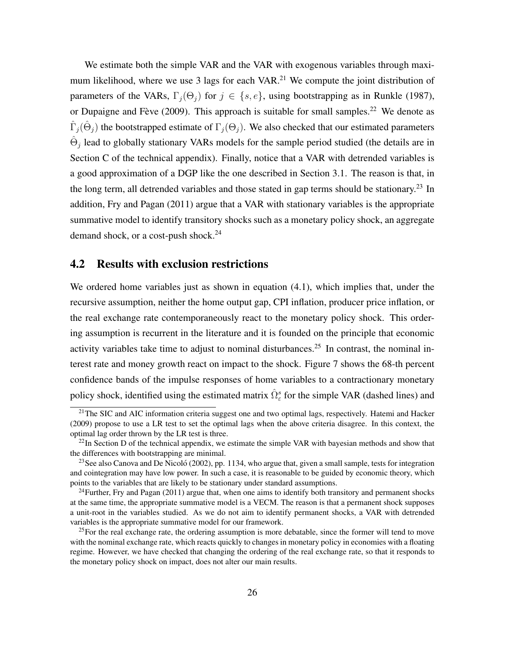We estimate both the simple VAR and the VAR with exogenous variables through maximum likelihood, where we use 3 lags for each  $VAR<sup>21</sup>$  We compute the joint distribution of parameters of the VARs,  $\Gamma_i(\Theta_i)$  for  $j \in \{s, e\}$ , using bootstrapping as in Runkle (1987), or Dupaigne and Fève (2009). This approach is suitable for small samples.<sup>22</sup> We denote as  $\hat{\Gamma}_j(\hat{\Theta}_j)$  the bootstrapped estimate of  $\Gamma_j(\Theta_j)$ . We also checked that our estimated parameters  $\hat{\Theta}_j$  lead to globally stationary VARs models for the sample period studied (the details are in Section C of the technical appendix). Finally, notice that a VAR with detrended variables is a good approximation of a DGP like the one described in Section 3.1. The reason is that, in the long term, all detrended variables and those stated in gap terms should be stationary.<sup>23</sup> In addition, Fry and Pagan (2011) argue that a VAR with stationary variables is the appropriate summative model to identify transitory shocks such as a monetary policy shock, an aggregate demand shock, or a cost-push shock.<sup>24</sup>

#### 4.2 Results with exclusion restrictions

We ordered home variables just as shown in equation  $(4.1)$ , which implies that, under the recursive assumption, neither the home output gap, CPI inflation, producer price inflation, or the real exchange rate contemporaneously react to the monetary policy shock. This ordering assumption is recurrent in the literature and it is founded on the principle that economic activity variables take time to adjust to nominal disturbances.<sup>25</sup> In contrast, the nominal interest rate and money growth react on impact to the shock. Figure 7 shows the 68-th percent confidence bands of the impulse responses of home variables to a contractionary monetary policy shock, identified using the estimated matrix  $\hat{\Omega}_{\varepsilon}^{s}$  for the simple VAR (dashed lines) and

<sup>&</sup>lt;sup>21</sup>The SIC and AIC information criteria suggest one and two optimal lags, respectively. Hatemi and Hacker (2009) propose to use a LR test to set the optimal lags when the above criteria disagree. In this context, the optimal lag order thrown by the LR test is three.

 $^{22}$ In Section D of the technical appendix, we estimate the simple VAR with bayesian methods and show that the differences with bootstrapping are minimal.

<sup>&</sup>lt;sup>23</sup>See also Canova and De Nicoló (2002), pp. 1134, who argue that, given a small sample, tests for integration and cointegration may have low power. In such a case, it is reasonable to be guided by economic theory, which points to the variables that are likely to be stationary under standard assumptions.

 $^{24}$ Further, Fry and Pagan (2011) argue that, when one aims to identify both transitory and permanent shocks at the same time, the appropriate summative model is a VECM. The reason is that a permanent shock supposes a unit-root in the variables studied. As we do not aim to identify permanent shocks, a VAR with detrended variables is the appropriate summative model for our framework.

<sup>&</sup>lt;sup>25</sup>For the real exchange rate, the ordering assumption is more debatable, since the former will tend to move with the nominal exchange rate, which reacts quickly to changes in monetary policy in economies with a floating regime. However, we have checked that changing the ordering of the real exchange rate, so that it responds to the monetary policy shock on impact, does not alter our main results.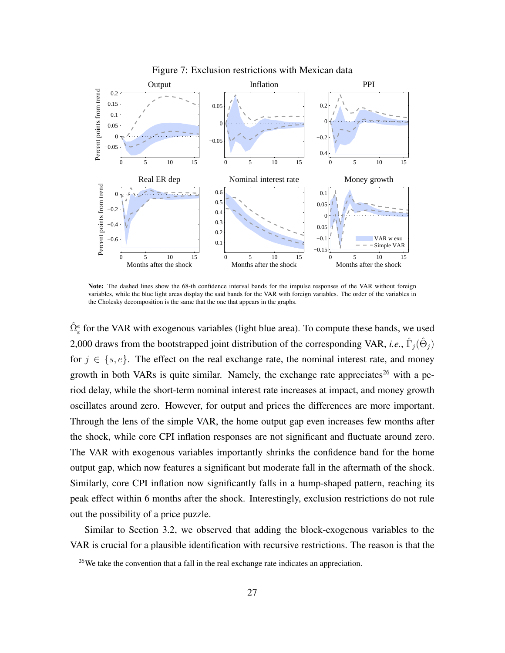

Figure 7: Exclusion restrictions with Mexican data

Note: The dashed lines show the 68-th confidence interval bands for the impulse responses of the VAR without foreign variables, while the blue light areas display the said bands for the VAR with foreign variables. The order of the variables in the Cholesky decomposition is the same that the one that appears in the graphs.

 $\hat{\Omega}_{\varepsilon}^e$  for the VAR with exogenous variables (light blue area). To compute these bands, we used 2,000 draws from the bootstrapped joint distribution of the corresponding VAR, *i.e.*,  $\hat{\Gamma}_j(\hat{\Theta}_j)$ for  $j \in \{s, e\}$ . The effect on the real exchange rate, the nominal interest rate, and money growth in both VARs is quite similar. Namely, the exchange rate appreciates<sup>26</sup> with a period delay, while the short-term nominal interest rate increases at impact, and money growth oscillates around zero. However, for output and prices the differences are more important. Through the lens of the simple VAR, the home output gap even increases few months after the shock, while core CPI inflation responses are not significant and fluctuate around zero. The VAR with exogenous variables importantly shrinks the confidence band for the home output gap, which now features a significant but moderate fall in the aftermath of the shock. Similarly, core CPI inflation now significantly falls in a hump-shaped pattern, reaching its peak effect within 6 months after the shock. Interestingly, exclusion restrictions do not rule out the possibility of a price puzzle.

Similar to Section 3.2, we observed that adding the block-exogenous variables to the VAR is crucial for a plausible identification with recursive restrictions. The reason is that the

 $26$ We take the convention that a fall in the real exchange rate indicates an appreciation.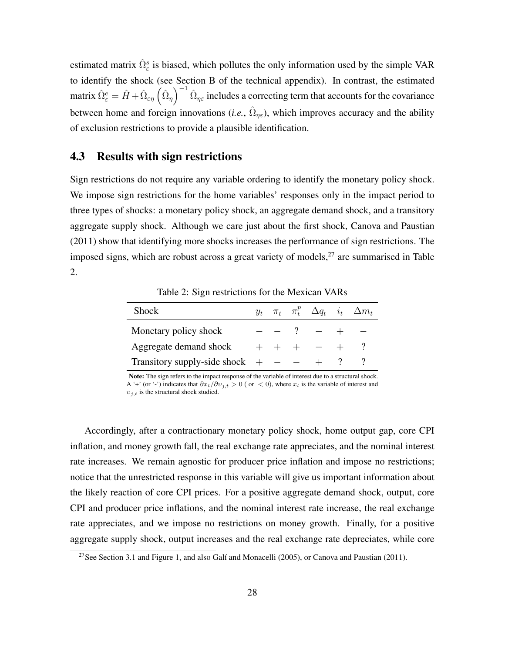estimated matrix  $\hat{\Omega}_{\varepsilon}^{s}$  is biased, which pollutes the only information used by the simple VAR to identify the shock (see Section B of the technical appendix). In contrast, the estimated matrix  $\hat{\Omega}^e_{\varepsilon} = \hat{H} + \hat{\Omega}_{\varepsilon\eta} \left( \hat{\Omega}_{\eta} \right)^{-1} \hat{\Omega}_{\eta\varepsilon}$  includes a correcting term that accounts for the covariance between home and foreign innovations (*i.e.*,  $\hat{\Omega}_{\eta\epsilon}$ ), which improves accuracy and the ability of exclusion restrictions to provide a plausible identification.

#### 4.3 Results with sign restrictions

Sign restrictions do not require any variable ordering to identify the monetary policy shock. We impose sign restrictions for the home variables' responses only in the impact period to three types of shocks: a monetary policy shock, an aggregate demand shock, and a transitory aggregate supply shock. Although we care just about the first shock, Canova and Paustian (2011) show that identifying more shocks increases the performance of sign restrictions. The imposed signs, which are robust across a great variety of models, $27$  are summarised in Table 2.

Shock  $y_t \pi_t \pi$ p  $\stackrel{p}{t}$   $\Delta q_t$  i<sub>t</sub>  $\Delta m_t$ 

Table 2: Sign restrictions for the Mexican VARs

| Shock                                  |  |             | $y_t$ $\pi_t$ $\pi_t^P$ $\Delta q_t$ $i_t$ $\Delta m_t$ |
|----------------------------------------|--|-------------|---------------------------------------------------------|
| Monetary policy shock                  |  | $ -$ ? $ +$ |                                                         |
| Aggregate demand shock $+ + + - +$ ?   |  |             |                                                         |
| Transitory supply-side shock $+$ - $-$ |  |             |                                                         |

Note: The sign refers to the impact response of the variable of interest due to a structural shock. A '+' (or '-') indicates that  $\partial x_t/\partial v_{j,t} > 0$  (or  $\langle 0 \rangle$ , where  $x_t$  is the variable of interest and  $v_{i,t}$  is the structural shock studied.

Accordingly, after a contractionary monetary policy shock, home output gap, core CPI inflation, and money growth fall, the real exchange rate appreciates, and the nominal interest rate increases. We remain agnostic for producer price inflation and impose no restrictions; notice that the unrestricted response in this variable will give us important information about the likely reaction of core CPI prices. For a positive aggregate demand shock, output, core CPI and producer price inflations, and the nominal interest rate increase, the real exchange rate appreciates, and we impose no restrictions on money growth. Finally, for a positive aggregate supply shock, output increases and the real exchange rate depreciates, while core

<sup>&</sup>lt;sup>27</sup>See Section 3.1 and Figure 1, and also Galí and Monacelli (2005), or Canova and Paustian (2011).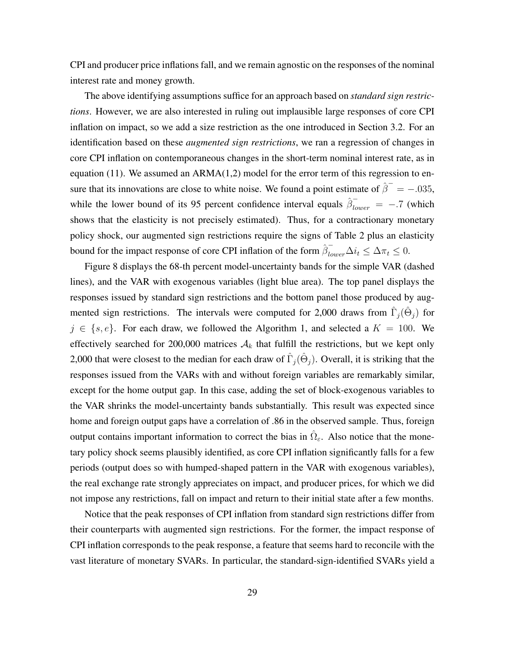CPI and producer price inflations fall, and we remain agnostic on the responses of the nominal interest rate and money growth.

The above identifying assumptions suffice for an approach based on *standard sign restrictions*. However, we are also interested in ruling out implausible large responses of core CPI inflation on impact, so we add a size restriction as the one introduced in Section 3.2. For an identification based on these *augmented sign restrictions*, we ran a regression of changes in core CPI inflation on contemporaneous changes in the short-term nominal interest rate, as in equation (11). We assumed an  $ARMA(1,2)$  model for the error term of this regression to ensure that its innovations are close to white noise. We found a point estimate of  $\hat{\beta}^- = -.035$ , while the lower bound of its 95 percent confidence interval equals  $\hat{\beta}_{lower}^- = -.7$  (which shows that the elasticity is not precisely estimated). Thus, for a contractionary monetary policy shock, our augmented sign restrictions require the signs of Table 2 plus an elasticity bound for the impact response of core CPI inflation of the form  $\hat{\beta}_{lower}^-\Delta i_t \leq \Delta \pi_t \leq 0$ .

Figure 8 displays the 68-th percent model-uncertainty bands for the simple VAR (dashed lines), and the VAR with exogenous variables (light blue area). The top panel displays the responses issued by standard sign restrictions and the bottom panel those produced by augmented sign restrictions. The intervals were computed for 2,000 draws from  $\hat{\Gamma}_j(\hat{\Theta}_j)$  for  $j \in \{s, e\}$ . For each draw, we followed the Algorithm 1, and selected a  $K = 100$ . We effectively searched for 200,000 matrices  $A_k$  that fulfill the restrictions, but we kept only 2,000 that were closest to the median for each draw of  $\hat{\Gamma}_j(\hat{\Theta}_j)$ . Overall, it is striking that the responses issued from the VARs with and without foreign variables are remarkably similar, except for the home output gap. In this case, adding the set of block-exogenous variables to the VAR shrinks the model-uncertainty bands substantially. This result was expected since home and foreign output gaps have a correlation of .86 in the observed sample. Thus, foreign output contains important information to correct the bias in  $\hat{\Omega}_{\varepsilon}$ . Also notice that the monetary policy shock seems plausibly identified, as core CPI inflation significantly falls for a few periods (output does so with humped-shaped pattern in the VAR with exogenous variables), the real exchange rate strongly appreciates on impact, and producer prices, for which we did not impose any restrictions, fall on impact and return to their initial state after a few months.

Notice that the peak responses of CPI inflation from standard sign restrictions differ from their counterparts with augmented sign restrictions. For the former, the impact response of CPI inflation corresponds to the peak response, a feature that seems hard to reconcile with the vast literature of monetary SVARs. In particular, the standard-sign-identified SVARs yield a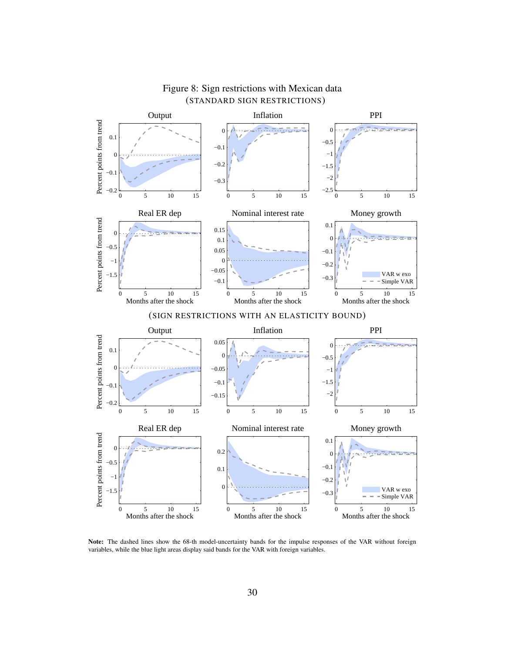

### Figure 8: Sign restrictions with Mexican data (STANDARD SIGN RESTRICTIONS)

Note: The dashed lines show the 68-th model-uncertainty bands for the impulse responses of the VAR without foreign variables, while the blue light areas display said bands for the VAR with foreign variables.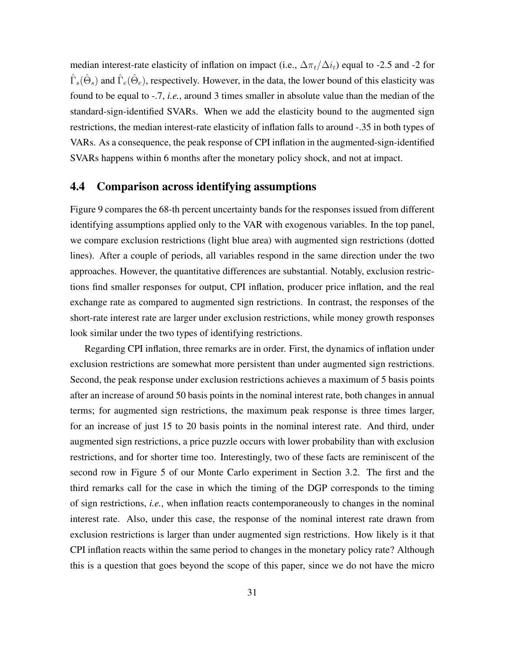median interest-rate elasticity of inflation on impact (i.e.,  $\Delta \pi_t / \Delta i_t$ ) equal to -2.5 and -2 for  $\hat{\Gamma}_s(\hat{\Theta}_s)$  and  $\hat{\Gamma}_e(\hat{\Theta}_e)$ , respectively. However, in the data, the lower bound of this elasticity was found to be equal to -.7, *i.e.*, around 3 times smaller in absolute value than the median of the standard-sign-identified SVARs. When we add the elasticity bound to the augmented sign restrictions, the median interest-rate elasticity of inflation falls to around -.35 in both types of VARs. As a consequence, the peak response of CPI inflation in the augmented-sign-identified SVARs happens within 6 months after the monetary policy shock, and not at impact.

### 4.4 Comparison across identifying assumptions

Figure 9 compares the 68-th percent uncertainty bands for the responses issued from different identifying assumptions applied only to the VAR with exogenous variables. In the top panel, we compare exclusion restrictions (light blue area) with augmented sign restrictions (dotted lines). After a couple of periods, all variables respond in the same direction under the two approaches. However, the quantitative differences are substantial. Notably, exclusion restrictions find smaller responses for output, CPI inflation, producer price inflation, and the real exchange rate as compared to augmented sign restrictions. In contrast, the responses of the short-rate interest rate are larger under exclusion restrictions, while money growth responses look similar under the two types of identifying restrictions.

Regarding CPI inflation, three remarks are in order. First, the dynamics of inflation under exclusion restrictions are somewhat more persistent than under augmented sign restrictions. Second, the peak response under exclusion restrictions achieves a maximum of 5 basis points after an increase of around 50 basis points in the nominal interest rate, both changes in annual terms; for augmented sign restrictions, the maximum peak response is three times larger, for an increase of just 15 to 20 basis points in the nominal interest rate. And third, under augmented sign restrictions, a price puzzle occurs with lower probability than with exclusion restrictions, and for shorter time too. Interestingly, two of these facts are reminiscent of the second row in Figure 5 of our Monte Carlo experiment in Section 3.2. The first and the third remarks call for the case in which the timing of the DGP corresponds to the timing of sign restrictions, *i.e.*, when inflation reacts contemporaneously to changes in the nominal interest rate. Also, under this case, the response of the nominal interest rate drawn from exclusion restrictions is larger than under augmented sign restrictions. How likely is it that CPI inflation reacts within the same period to changes in the monetary policy rate? Although this is a question that goes beyond the scope of this paper, since we do not have the micro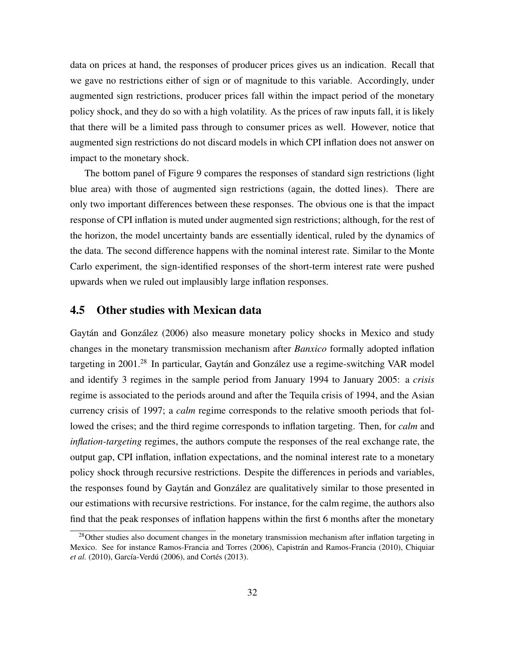data on prices at hand, the responses of producer prices gives us an indication. Recall that we gave no restrictions either of sign or of magnitude to this variable. Accordingly, under augmented sign restrictions, producer prices fall within the impact period of the monetary policy shock, and they do so with a high volatility. As the prices of raw inputs fall, it is likely that there will be a limited pass through to consumer prices as well. However, notice that augmented sign restrictions do not discard models in which CPI inflation does not answer on impact to the monetary shock.

The bottom panel of Figure 9 compares the responses of standard sign restrictions (light blue area) with those of augmented sign restrictions (again, the dotted lines). There are only two important differences between these responses. The obvious one is that the impact response of CPI inflation is muted under augmented sign restrictions; although, for the rest of the horizon, the model uncertainty bands are essentially identical, ruled by the dynamics of the data. The second difference happens with the nominal interest rate. Similar to the Monte Carlo experiment, the sign-identified responses of the short-term interest rate were pushed upwards when we ruled out implausibly large inflation responses.

### 4.5 Other studies with Mexican data

Gaytán and González (2006) also measure monetary policy shocks in Mexico and study changes in the monetary transmission mechanism after *Banxico* formally adopted inflation targeting in  $2001<sup>28</sup>$  In particular, Gaytán and González use a regime-switching VAR model and identify 3 regimes in the sample period from January 1994 to January 2005: a *crisis* regime is associated to the periods around and after the Tequila crisis of 1994, and the Asian currency crisis of 1997; a *calm* regime corresponds to the relative smooth periods that followed the crises; and the third regime corresponds to inflation targeting. Then, for *calm* and *inflation-targeting* regimes, the authors compute the responses of the real exchange rate, the output gap, CPI inflation, inflation expectations, and the nominal interest rate to a monetary policy shock through recursive restrictions. Despite the differences in periods and variables, the responses found by Gaytan and Gonzatez are qualitatively similar to those presented in our estimations with recursive restrictions. For instance, for the calm regime, the authors also find that the peak responses of inflation happens within the first 6 months after the monetary

 $28$ Other studies also document changes in the monetary transmission mechanism after inflation targeting in Mexico. See for instance Ramos-Francia and Torres (2006), Capistrán and Ramos-Francia (2010), Chiquiar *et al.* (2010), García-Verdú (2006), and Cortés (2013).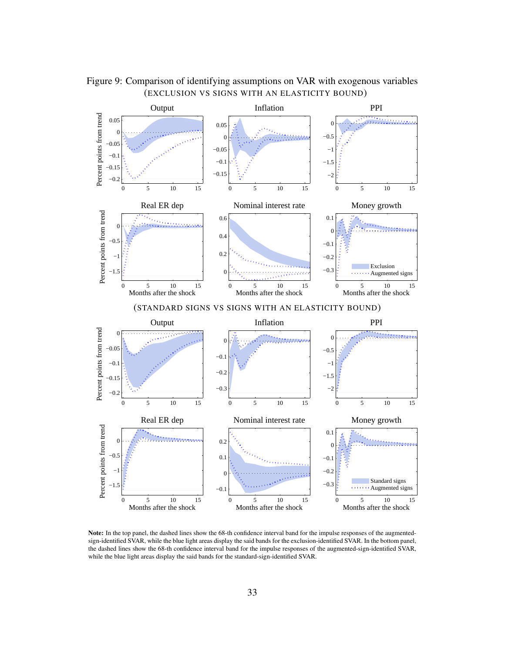

Figure 9: Comparison of identifying assumptions on VAR with exogenous variables (EXCLUSION VS SIGNS WITH AN ELASTICITY BOUND)

Note: In the top panel, the dashed lines show the 68-th confidence interval band for the impulse responses of the augmentedsign-identified SVAR, while the blue light areas display the said bands for the exclusion-identified SVAR. In the bottom panel, the dashed lines show the 68-th confidence interval band for the impulse responses of the augmented-sign-identified SVAR, while the blue light areas display the said bands for the standard-sign-identified SVAR.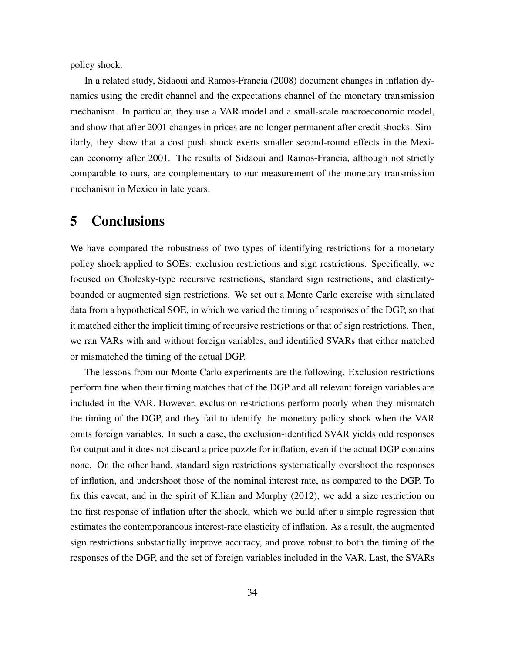policy shock.

In a related study, Sidaoui and Ramos-Francia (2008) document changes in inflation dynamics using the credit channel and the expectations channel of the monetary transmission mechanism. In particular, they use a VAR model and a small-scale macroeconomic model, and show that after 2001 changes in prices are no longer permanent after credit shocks. Similarly, they show that a cost push shock exerts smaller second-round effects in the Mexican economy after 2001. The results of Sidaoui and Ramos-Francia, although not strictly comparable to ours, are complementary to our measurement of the monetary transmission mechanism in Mexico in late years.

# 5 Conclusions

We have compared the robustness of two types of identifying restrictions for a monetary policy shock applied to SOEs: exclusion restrictions and sign restrictions. Specifically, we focused on Cholesky-type recursive restrictions, standard sign restrictions, and elasticitybounded or augmented sign restrictions. We set out a Monte Carlo exercise with simulated data from a hypothetical SOE, in which we varied the timing of responses of the DGP, so that it matched either the implicit timing of recursive restrictions or that of sign restrictions. Then, we ran VARs with and without foreign variables, and identified SVARs that either matched or mismatched the timing of the actual DGP.

The lessons from our Monte Carlo experiments are the following. Exclusion restrictions perform fine when their timing matches that of the DGP and all relevant foreign variables are included in the VAR. However, exclusion restrictions perform poorly when they mismatch the timing of the DGP, and they fail to identify the monetary policy shock when the VAR omits foreign variables. In such a case, the exclusion-identified SVAR yields odd responses for output and it does not discard a price puzzle for inflation, even if the actual DGP contains none. On the other hand, standard sign restrictions systematically overshoot the responses of inflation, and undershoot those of the nominal interest rate, as compared to the DGP. To fix this caveat, and in the spirit of Kilian and Murphy (2012), we add a size restriction on the first response of inflation after the shock, which we build after a simple regression that estimates the contemporaneous interest-rate elasticity of inflation. As a result, the augmented sign restrictions substantially improve accuracy, and prove robust to both the timing of the responses of the DGP, and the set of foreign variables included in the VAR. Last, the SVARs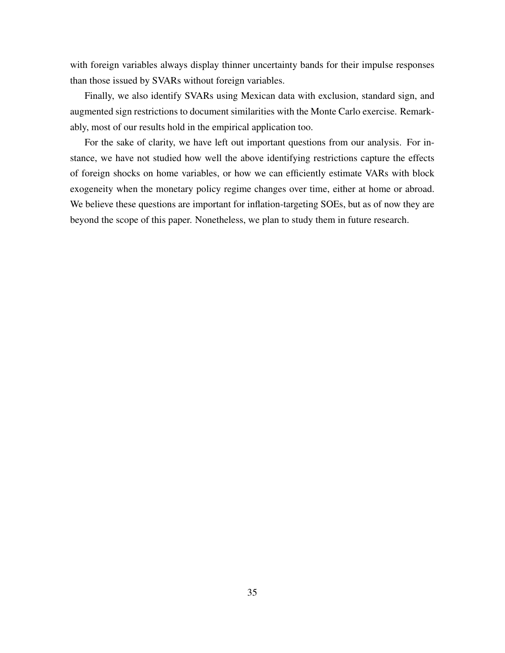with foreign variables always display thinner uncertainty bands for their impulse responses than those issued by SVARs without foreign variables.

Finally, we also identify SVARs using Mexican data with exclusion, standard sign, and augmented sign restrictions to document similarities with the Monte Carlo exercise. Remarkably, most of our results hold in the empirical application too.

For the sake of clarity, we have left out important questions from our analysis. For instance, we have not studied how well the above identifying restrictions capture the effects of foreign shocks on home variables, or how we can efficiently estimate VARs with block exogeneity when the monetary policy regime changes over time, either at home or abroad. We believe these questions are important for inflation-targeting SOEs, but as of now they are beyond the scope of this paper. Nonetheless, we plan to study them in future research.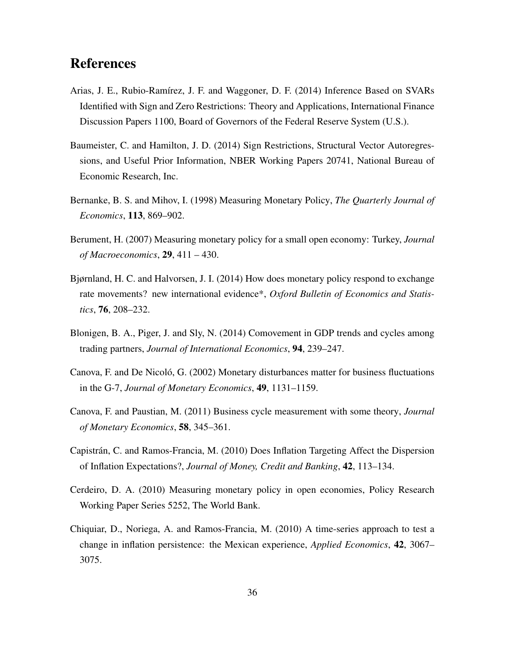## References

- Arias, J. E., Rubio-Ramírez, J. F. and Waggoner, D. F. (2014) Inference Based on SVARs Identified with Sign and Zero Restrictions: Theory and Applications, International Finance Discussion Papers 1100, Board of Governors of the Federal Reserve System (U.S.).
- Baumeister, C. and Hamilton, J. D. (2014) Sign Restrictions, Structural Vector Autoregressions, and Useful Prior Information, NBER Working Papers 20741, National Bureau of Economic Research, Inc.
- Bernanke, B. S. and Mihov, I. (1998) Measuring Monetary Policy, *The Quarterly Journal of Economics*, 113, 869–902.
- Berument, H. (2007) Measuring monetary policy for a small open economy: Turkey, *Journal of Macroeconomics*, 29, 411 – 430.
- Bjørnland, H. C. and Halvorsen, J. I. (2014) How does monetary policy respond to exchange rate movements? new international evidence\*, *Oxford Bulletin of Economics and Statistics*, 76, 208–232.
- Blonigen, B. A., Piger, J. and Sly, N. (2014) Comovement in GDP trends and cycles among trading partners, *Journal of International Economics*, 94, 239–247.
- Canova, F. and De Nicoló, G. (2002) Monetary disturbances matter for business fluctuations in the G-7, *Journal of Monetary Economics*, 49, 1131–1159.
- Canova, F. and Paustian, M. (2011) Business cycle measurement with some theory, *Journal of Monetary Economics*, 58, 345–361.
- Capistrán, C. and Ramos-Francia, M. (2010) Does Inflation Targeting Affect the Dispersion of Inflation Expectations?, *Journal of Money, Credit and Banking*, 42, 113–134.
- Cerdeiro, D. A. (2010) Measuring monetary policy in open economies, Policy Research Working Paper Series 5252, The World Bank.
- Chiquiar, D., Noriega, A. and Ramos-Francia, M. (2010) A time-series approach to test a change in inflation persistence: the Mexican experience, *Applied Economics*, 42, 3067– 3075.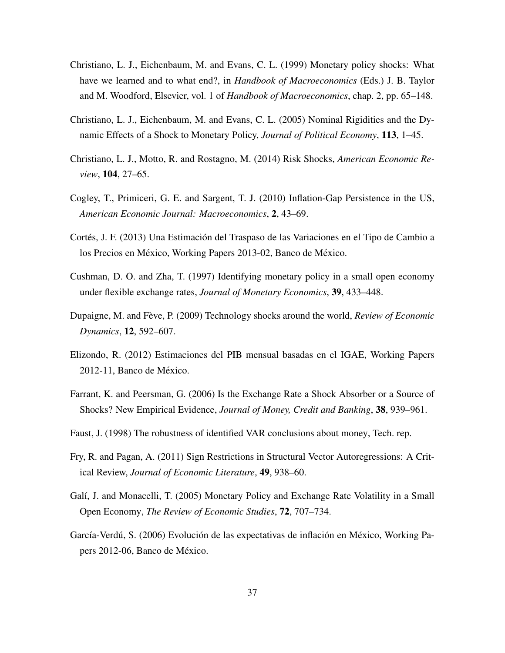- Christiano, L. J., Eichenbaum, M. and Evans, C. L. (1999) Monetary policy shocks: What have we learned and to what end?, in *Handbook of Macroeconomics* (Eds.) J. B. Taylor and M. Woodford, Elsevier, vol. 1 of *Handbook of Macroeconomics*, chap. 2, pp. 65–148.
- Christiano, L. J., Eichenbaum, M. and Evans, C. L. (2005) Nominal Rigidities and the Dynamic Effects of a Shock to Monetary Policy, *Journal of Political Economy*, 113, 1–45.
- Christiano, L. J., Motto, R. and Rostagno, M. (2014) Risk Shocks, *American Economic Review*, 104, 27–65.
- Cogley, T., Primiceri, G. E. and Sargent, T. J. (2010) Inflation-Gap Persistence in the US, *American Economic Journal: Macroeconomics*, 2, 43–69.
- Cortés, J. F. (2013) Una Estimación del Traspaso de las Variaciones en el Tipo de Cambio a los Precios en México, Working Papers 2013-02, Banco de México.
- Cushman, D. O. and Zha, T. (1997) Identifying monetary policy in a small open economy under flexible exchange rates, *Journal of Monetary Economics*, 39, 433–448.
- Dupaigne, M. and Feve, P. (2009) Technology shocks around the world, ` *Review of Economic Dynamics*, 12, 592–607.
- Elizondo, R. (2012) Estimaciones del PIB mensual basadas en el IGAE, Working Papers 2012-11, Banco de México.
- Farrant, K. and Peersman, G. (2006) Is the Exchange Rate a Shock Absorber or a Source of Shocks? New Empirical Evidence, *Journal of Money, Credit and Banking*, 38, 939–961.
- Faust, J. (1998) The robustness of identified VAR conclusions about money, Tech. rep.
- Fry, R. and Pagan, A. (2011) Sign Restrictions in Structural Vector Autoregressions: A Critical Review, *Journal of Economic Literature*, 49, 938–60.
- Galí, J. and Monacelli, T. (2005) Monetary Policy and Exchange Rate Volatility in a Small Open Economy, *The Review of Economic Studies*, 72, 707–734.
- García-Verdú, S. (2006) Evolución de las expectativas de inflación en México, Working Papers 2012-06, Banco de México.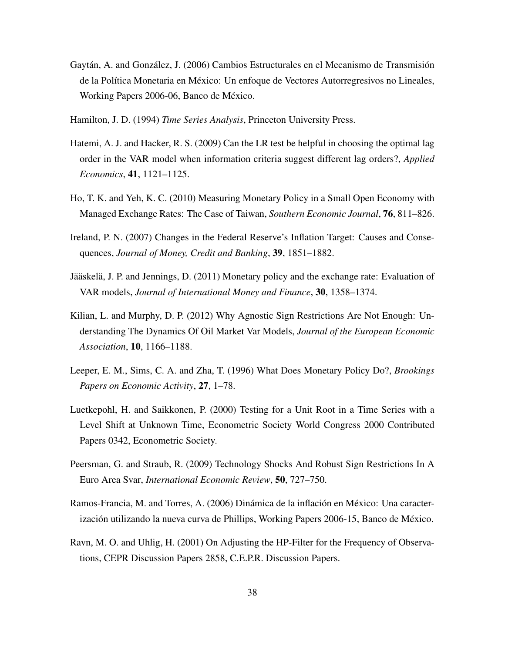- Gaytán, A. and González, J. (2006) Cambios Estructurales en el Mecanismo de Transmisión de la Política Monetaria en México: Un enfoque de Vectores Autorregresivos no Lineales, Working Papers 2006-06, Banco de México.
- Hamilton, J. D. (1994) *Time Series Analysis*, Princeton University Press.
- Hatemi, A. J. and Hacker, R. S. (2009) Can the LR test be helpful in choosing the optimal lag order in the VAR model when information criteria suggest different lag orders?, *Applied Economics*, 41, 1121–1125.
- Ho, T. K. and Yeh, K. C. (2010) Measuring Monetary Policy in a Small Open Economy with Managed Exchange Rates: The Case of Taiwan, *Southern Economic Journal*, 76, 811–826.
- Ireland, P. N. (2007) Changes in the Federal Reserve's Inflation Target: Causes and Consequences, *Journal of Money, Credit and Banking*, 39, 1851–1882.
- Jääskelä, J. P. and Jennings, D. (2011) Monetary policy and the exchange rate: Evaluation of VAR models, *Journal of International Money and Finance*, 30, 1358–1374.
- Kilian, L. and Murphy, D. P. (2012) Why Agnostic Sign Restrictions Are Not Enough: Understanding The Dynamics Of Oil Market Var Models, *Journal of the European Economic Association*, 10, 1166–1188.
- Leeper, E. M., Sims, C. A. and Zha, T. (1996) What Does Monetary Policy Do?, *Brookings Papers on Economic Activity*, 27, 1–78.
- Luetkepohl, H. and Saikkonen, P. (2000) Testing for a Unit Root in a Time Series with a Level Shift at Unknown Time, Econometric Society World Congress 2000 Contributed Papers 0342, Econometric Society.
- Peersman, G. and Straub, R. (2009) Technology Shocks And Robust Sign Restrictions In A Euro Area Svar, *International Economic Review*, 50, 727–750.
- Ramos-Francia, M. and Torres, A. (2006) Dinámica de la inflación en México: Una caracterización utilizando la nueva curva de Phillips, Working Papers 2006-15, Banco de México.
- Ravn, M. O. and Uhlig, H. (2001) On Adjusting the HP-Filter for the Frequency of Observations, CEPR Discussion Papers 2858, C.E.P.R. Discussion Papers.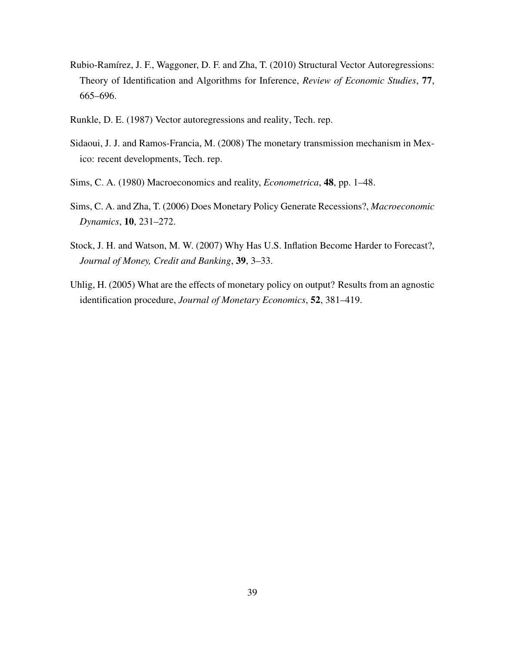- Rubio-Ramírez, J. F., Waggoner, D. F. and Zha, T. (2010) Structural Vector Autoregressions: Theory of Identification and Algorithms for Inference, *Review of Economic Studies*, 77, 665–696.
- Runkle, D. E. (1987) Vector autoregressions and reality, Tech. rep.
- Sidaoui, J. J. and Ramos-Francia, M. (2008) The monetary transmission mechanism in Mexico: recent developments, Tech. rep.
- Sims, C. A. (1980) Macroeconomics and reality, *Econometrica*, 48, pp. 1–48.
- Sims, C. A. and Zha, T. (2006) Does Monetary Policy Generate Recessions?, *Macroeconomic Dynamics*, 10, 231–272.
- Stock, J. H. and Watson, M. W. (2007) Why Has U.S. Inflation Become Harder to Forecast?, *Journal of Money, Credit and Banking*, 39, 3–33.
- Uhlig, H. (2005) What are the effects of monetary policy on output? Results from an agnostic identification procedure, *Journal of Monetary Economics*, 52, 381–419.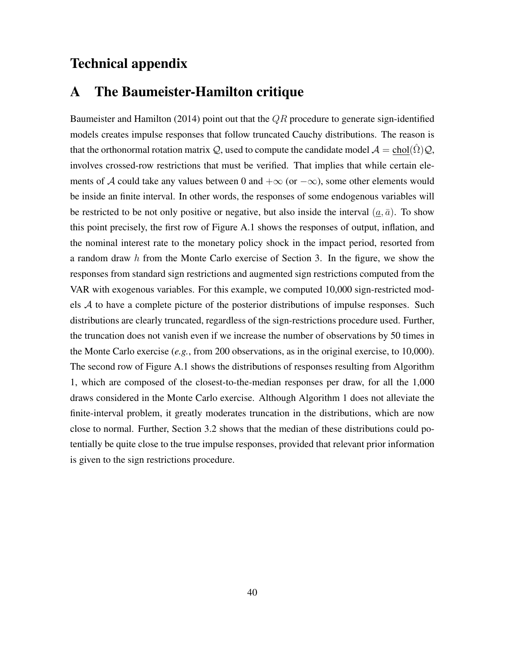# Technical appendix

# A The Baumeister-Hamilton critique

Baumeister and Hamilton (2014) point out that the  $QR$  procedure to generate sign-identified models creates impulse responses that follow truncated Cauchy distributions. The reason is that the orthonormal rotation matrix Q, used to compute the candidate model  $A = \text{chol}(\Omega)Q$ , involves crossed-row restrictions that must be verified. That implies that while certain elements of A could take any values between 0 and  $+\infty$  (or  $-\infty$ ), some other elements would be inside an finite interval. In other words, the responses of some endogenous variables will be restricted to be not only positive or negative, but also inside the interval  $(a, \bar{a})$ . To show this point precisely, the first row of Figure A.1 shows the responses of output, inflation, and the nominal interest rate to the monetary policy shock in the impact period, resorted from a random draw h from the Monte Carlo exercise of Section 3. In the figure, we show the responses from standard sign restrictions and augmented sign restrictions computed from the VAR with exogenous variables. For this example, we computed 10,000 sign-restricted models A to have a complete picture of the posterior distributions of impulse responses. Such distributions are clearly truncated, regardless of the sign-restrictions procedure used. Further, the truncation does not vanish even if we increase the number of observations by 50 times in the Monte Carlo exercise (*e.g.*, from 200 observations, as in the original exercise, to 10,000). The second row of Figure A.1 shows the distributions of responses resulting from Algorithm 1, which are composed of the closest-to-the-median responses per draw, for all the 1,000 draws considered in the Monte Carlo exercise. Although Algorithm 1 does not alleviate the finite-interval problem, it greatly moderates truncation in the distributions, which are now close to normal. Further, Section 3.2 shows that the median of these distributions could potentially be quite close to the true impulse responses, provided that relevant prior information is given to the sign restrictions procedure.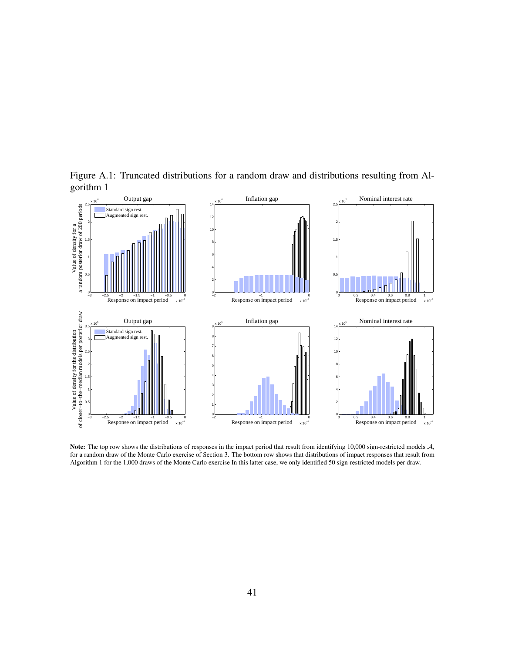

Figure A.1: Truncated distributions for a random draw and distributions resulting from Algorithm 1

Note: The top row shows the distributions of responses in the impact period that result from identifying 10,000 sign-restricted models A, for a random draw of the Monte Carlo exercise of Section 3. The bottom row shows that distributions of impact responses that result from Algorithm 1 for the 1,000 draws of the Monte Carlo exercise In this latter case, we only identified 50 sign-restricted models per draw.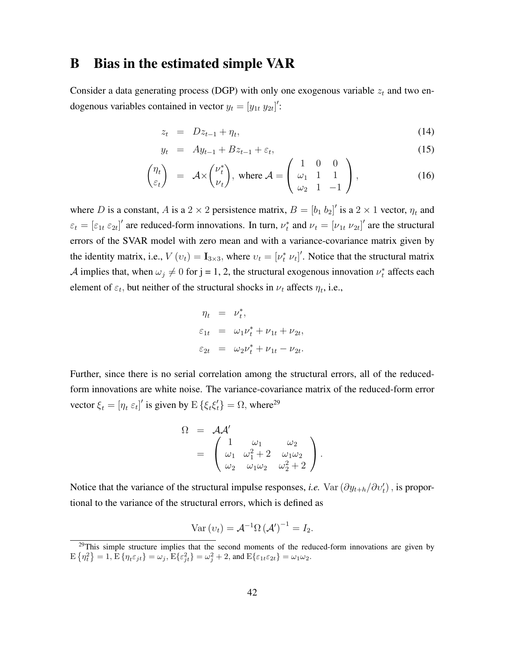## B Bias in the estimated simple VAR

Consider a data generating process (DGP) with only one exogenous variable  $z_t$  and two endogenous variables contained in vector  $y_t = [y_{1t} y_{2t}]'$ :

$$
z_t = Dz_{t-1} + \eta_t, \tag{14}
$$

$$
y_t = Ay_{t-1} + Bz_{t-1} + \varepsilon_t, \tag{15}
$$

$$
\begin{pmatrix} \eta_t \\ \varepsilon_t \end{pmatrix} = \mathcal{A} \times \begin{pmatrix} \nu_t^* \\ \nu_t \end{pmatrix}, \text{ where } \mathcal{A} = \begin{pmatrix} 1 & 0 & 0 \\ \omega_1 & 1 & 1 \\ \omega_2 & 1 & -1 \end{pmatrix}, \tag{16}
$$

where D is a constant, A is a 2  $\times$  2 persistence matrix,  $B = [b_1 \ b_2]'$  is a 2  $\times$  1 vector,  $\eta_t$  and  $\varepsilon_t = [\varepsilon_{1t} \varepsilon_{2t}]'$  are reduced-form innovations. In turn,  $\nu_t^*$  and  $\nu_t = [\nu_{1t} \nu_{2t}]'$  are the structural errors of the SVAR model with zero mean and with a variance-covariance matrix given by the identity matrix, i.e.,  $V(v_t) = I_{3 \times 3}$ , where  $v_t = [v_t^* v_t]'$ . Notice that the structural matrix A implies that, when  $\omega_j \neq 0$  for j = 1, 2, the structural exogenous innovation  $\nu_t^*$  affects each element of  $\varepsilon_t$ , but neither of the structural shocks in  $\nu_t$  affects  $\eta_t$ , i.e.,

$$
\eta_t = \nu_t^*,
$$
  
\n
$$
\varepsilon_{1t} = \omega_1 \nu_t^* + \nu_{1t} + \nu_{2t},
$$
  
\n
$$
\varepsilon_{2t} = \omega_2 \nu_t^* + \nu_{1t} - \nu_{2t}.
$$

Further, since there is no serial correlation among the structural errors, all of the reducedform innovations are white noise. The variance-covariance matrix of the reduced-form error vector  $\xi_t = [\eta_t \ \varepsilon_t]'$  is given by  $E\{\xi_t \xi_t'\} = \Omega$ , where<sup>29</sup>

$$
\Omega = \mathcal{A}\mathcal{A}'
$$
  
= 
$$
\begin{pmatrix} 1 & \omega_1 & \omega_2 \\ \omega_1 & \omega_1^2 + 2 & \omega_1\omega_2 \\ \omega_2 & \omega_1\omega_2 & \omega_2^2 + 2 \end{pmatrix}.
$$

Notice that the variance of the structural impulse responses, *i.e.* Var  $(\partial y_{t+h}/\partial v'_t)$ , is proportional to the variance of the structural errors, which is defined as

$$
Var(v_t) = \mathcal{A}^{-1}\Omega(\mathcal{A}')^{-1} = I_2.
$$

 $29$ This simple structure implies that the second moments of the reduced-form innovations are given by  $\mathrm{E} \left\{ \eta_t^2 \right\} = 1, \mathrm{E} \left\{ \eta_t \varepsilon_{jt} \right\} = \omega_j, \mathrm{E} \{ \varepsilon_{jt}^2 \} = \omega_j^2 + 2, \text{ and } \mathrm{E} \{ \varepsilon_{1t} \varepsilon_{2t} \} = \omega_1 \omega_2.$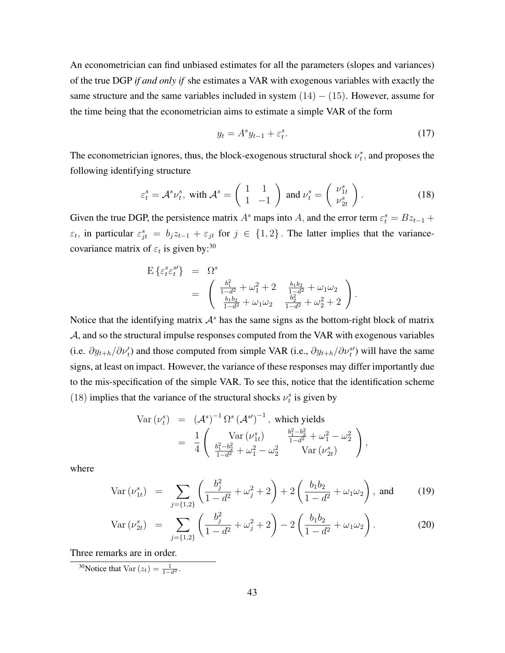An econometrician can find unbiased estimates for all the parameters (slopes and variances) of the true DGP *if and only if* she estimates a VAR with exogenous variables with exactly the same structure and the same variables included in system  $(14) - (15)$ . However, assume for the time being that the econometrician aims to estimate a simple VAR of the form

$$
y_t = A^s y_{t-1} + \varepsilon_t^s. \tag{17}
$$

The econometrician ignores, thus, the block-exogenous structural shock  $\nu_t^*$ , and proposes the following identifying structure

$$
\varepsilon_t^s = \mathcal{A}^s \nu_t^s, \text{ with } \mathcal{A}^s = \begin{pmatrix} 1 & 1 \\ 1 & -1 \end{pmatrix} \text{ and } \nu_t^s = \begin{pmatrix} \nu_{1t}^s \\ \nu_{2t}^s \end{pmatrix}.
$$
 (18)

Given the true DGP, the persistence matrix  $A^s$  maps into A, and the error term  $\varepsilon_t^s = Bz_{t-1} +$  $\varepsilon_t$ , in particular  $\varepsilon_{jt}^s = b_j z_{t-1} + \varepsilon_{jt}$  for  $j \in \{1,2\}$ . The latter implies that the variancecovariance matrix of  $\varepsilon_t$  is given by:<sup>30</sup>

$$
E\left\{\varepsilon_t^s \varepsilon_t^{s'}\right\} = \Omega^s
$$
  
= 
$$
\begin{pmatrix} \frac{b_1^2}{1-d^2} + \omega_1^2 + 2 & \frac{b_1b_2}{1-d^2} + \omega_1\omega_2 \\ \frac{b_1b_2}{1-d^2} + \omega_1\omega_2 & \frac{b_2^2}{1-d^2} + \omega_2^2 + 2 \end{pmatrix}.
$$

Notice that the identifying matrix  $A<sup>s</sup>$  has the same signs as the bottom-right block of matrix A, and so the structural impulse responses computed from the VAR with exogenous variables (i.e.  $\partial y_{t+h}/\partial \nu'_t$ ) and those computed from simple VAR (i.e.,  $\partial y_{t+h}/\partial \nu_t^{s}$ ) will have the same signs, at least on impact. However, the variance of these responses may differ importantly due to the mis-specification of the simple VAR. To see this, notice that the identification scheme (18) implies that the variance of the structural shocks  $\nu_t^s$  is given by

Var 
$$
(\nu_t^s)
$$
 =  $({\cal A}^s)^{-1} \Omega^s ({\cal A}^{s})^{-1}$ , which yields  
\n=  $\frac{1}{4} \begin{pmatrix} \text{Var} (\nu_{1t}^s) & \frac{b_1^2 - b_2^2}{1 - d^2} + \omega_1^2 - \omega_2^2 \\ \frac{b_1^2 - b_2^2}{1 - d^2} + \omega_1^2 - \omega_2^2 & \text{Var} (\nu_{2t}^s) \end{pmatrix}$ ,

where

$$
\text{Var} \left( \nu_{1t}^s \right) \;\; = \;\; \sum_{j=\{1,2\}} \left( \frac{b_j^2}{1-d^2} + \omega_j^2 + 2 \right) + 2 \left( \frac{b_1 b_2}{1-d^2} + \omega_1 \omega_2 \right), \text{ and} \tag{19}
$$

$$
\text{Var}\left(\nu_{2t}^s\right) = \sum_{j=\{1,2\}} \left( \frac{b_j^2}{1-d^2} + \omega_j^2 + 2 \right) - 2 \left( \frac{b_1 b_2}{1-d^2} + \omega_1 \omega_2 \right). \tag{20}
$$

Three remarks are in order.

<sup>30</sup>Notice that Var  $(z_t) = \frac{1}{1 - d^2}$ .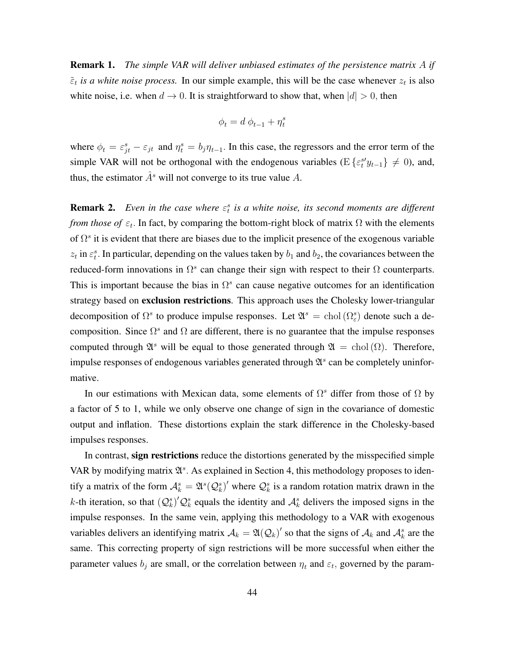Remark 1. *The simple VAR will deliver unbiased estimates of the persistence matrix* A *if*  $\tilde{\epsilon}_t$  *is a white noise process.* In our simple example, this will be the case whenever  $z_t$  is also white noise, i.e. when  $d \to 0$ . It is straightforward to show that, when  $|d| > 0$ , then

$$
\phi_t = d \; \phi_{t-1} + \eta_t^s
$$

where  $\phi_t = \varepsilon_{jt}^s - \varepsilon_{jt}$  and  $\eta_t^s = b_j \eta_{t-1}$ . In this case, the regressors and the error term of the simple VAR will not be orthogonal with the endogenous variables ( $E\{\varepsilon_t^{s\prime}y_{t-1}\}\neq 0$ ), and, thus, the estimator  $\hat{A}^s$  will not converge to its true value A.

**Remark 2.** Even in the case where  $\varepsilon_t^s$  is a white noise, its second moments are different *from those of*  $\varepsilon_t$ . In fact, by comparing the bottom-right block of matrix  $\Omega$  with the elements of  $\Omega^s$  it is evident that there are biases due to the implicit presence of the exogenous variable  $z_t$  in  $\varepsilon_t^s$ . In particular, depending on the values taken by  $b_1$  and  $b_2$ , the covariances between the reduced-form innovations in  $\Omega^s$  can change their sign with respect to their  $\Omega$  counterparts. This is important because the bias in  $\Omega^s$  can cause negative outcomes for an identification strategy based on exclusion restrictions. This approach uses the Cholesky lower-triangular decomposition of  $\Omega^s$  to produce impulse responses. Let  $\mathfrak{A}^s = \text{chol}(\Omega^s_{\varepsilon})$  denote such a decomposition. Since  $\Omega^s$  and  $\Omega$  are different, there is no guarantee that the impulse responses computed through  $\mathfrak{A}^s$  will be equal to those generated through  $\mathfrak{A} = \text{chol}(\Omega)$ . Therefore, impulse responses of endogenous variables generated through  $\mathfrak{A}^s$  can be completely uninformative.

In our estimations with Mexican data, some elements of  $\Omega^s$  differ from those of  $\Omega$  by a factor of 5 to 1, while we only observe one change of sign in the covariance of domestic output and inflation. These distortions explain the stark difference in the Cholesky-based impulses responses.

In contrast, sign restrictions reduce the distortions generated by the misspecified simple VAR by modifying matrix  $\mathfrak{A}^s$ . As explained in Section 4, this methodology proposes to identify a matrix of the form  $A_k^s = \mathfrak{A}^s(Q_k^s)'$  where  $Q_k^s$  is a random rotation matrix drawn in the k-th iteration, so that  $(Q_k^s)'Q_k^s$  equals the identity and  $\mathcal{A}_k^s$  delivers the imposed signs in the impulse responses. In the same vein, applying this methodology to a VAR with exogenous variables delivers an identifying matrix  $A_k = \mathfrak{A}(Q_k)'$  so that the signs of  $A_k$  and  $A_k^s$  are the same. This correcting property of sign restrictions will be more successful when either the parameter values  $b_j$  are small, or the correlation between  $\eta_t$  and  $\varepsilon_t$ , governed by the param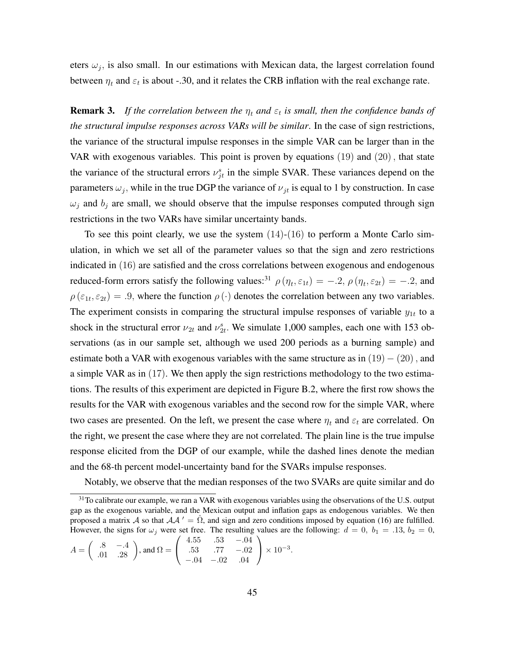eters  $\omega_j$ , is also small. In our estimations with Mexican data, the largest correlation found between  $\eta_t$  and  $\varepsilon_t$  is about -.30, and it relates the CRB inflation with the real exchange rate.

**Remark 3.** If the correlation between the  $\eta_t$  and  $\varepsilon_t$  is small, then the confidence bands of *the structural impulse responses across VARs will be similar*. In the case of sign restrictions, the variance of the structural impulse responses in the simple VAR can be larger than in the VAR with exogenous variables. This point is proven by equations  $(19)$  and  $(20)$ , that state the variance of the structural errors  $v_{jt}^s$  in the simple SVAR. These variances depend on the parameters  $\omega_j$ , while in the true DGP the variance of  $\nu_{jt}$  is equal to 1 by construction. In case  $\omega_j$  and  $b_j$  are small, we should observe that the impulse responses computed through sign restrictions in the two VARs have similar uncertainty bands.

To see this point clearly, we use the system  $(14)-(16)$  to perform a Monte Carlo simulation, in which we set all of the parameter values so that the sign and zero restrictions indicated in (16) are satisfied and the cross correlations between exogenous and endogenous reduced-form errors satisfy the following values:<sup>31</sup>  $\rho(\eta_t, \varepsilon_{1t}) = -0.2$ ,  $\rho(\eta_t, \varepsilon_{2t}) = -0.2$ , and  $\rho(\varepsilon_{1t}, \varepsilon_{2t}) = .9$ , where the function  $\rho(\cdot)$  denotes the correlation between any two variables. The experiment consists in comparing the structural impulse responses of variable  $y_{1t}$  to a shock in the structural error  $\nu_{2t}$  and  $\nu_{2t}^s$ . We simulate 1,000 samples, each one with 153 observations (as in our sample set, although we used 200 periods as a burning sample) and estimate both a VAR with exogenous variables with the same structure as in  $(19) - (20)$ , and a simple VAR as in (17). We then apply the sign restrictions methodology to the two estimations. The results of this experiment are depicted in Figure B.2, where the first row shows the results for the VAR with exogenous variables and the second row for the simple VAR, where two cases are presented. On the left, we present the case where  $\eta_t$  and  $\varepsilon_t$  are correlated. On the right, we present the case where they are not correlated. The plain line is the true impulse response elicited from the DGP of our example, while the dashed lines denote the median and the 68-th percent model-uncertainty band for the SVARs impulse responses.

Notably, we observe that the median responses of the two SVARs are quite similar and do

$$
A = \begin{pmatrix} .8 & -.4 \\ .01 & .28 \end{pmatrix}, \text{ and } \Omega = \begin{pmatrix} 4.55 & .53 & -.04 \\ .53 & .77 & -.02 \\ -.04 & -.02 & .04 \end{pmatrix} \times 10^{-3}.
$$

<sup>&</sup>lt;sup>31</sup>To calibrate our example, we ran a VAR with exogenous variables using the observations of the U.S. output gap as the exogenous variable, and the Mexican output and inflation gaps as endogenous variables. We then proposed a matrix A so that  $A A' = \Omega$ , and sign and zero conditions imposed by equation (16) are fulfilled. However, the signs for  $\omega_j$  were set free. The resulting values are the following:  $d = 0, b_1 = .13, b_2 = 0,$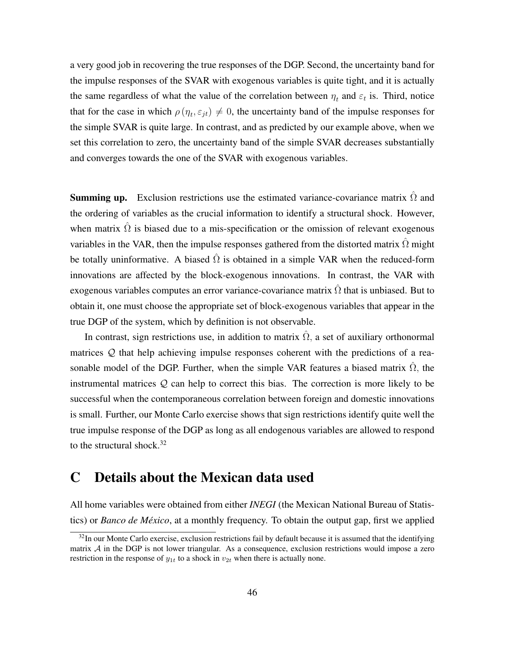a very good job in recovering the true responses of the DGP. Second, the uncertainty band for the impulse responses of the SVAR with exogenous variables is quite tight, and it is actually the same regardless of what the value of the correlation between  $\eta_t$  and  $\varepsilon_t$  is. Third, notice that for the case in which  $\rho(\eta_t, \varepsilon_{jt}) \neq 0$ , the uncertainty band of the impulse responses for the simple SVAR is quite large. In contrast, and as predicted by our example above, when we set this correlation to zero, the uncertainty band of the simple SVAR decreases substantially and converges towards the one of the SVAR with exogenous variables.

**Summing up.** Exclusion restrictions use the estimated variance-covariance matrix  $\Omega$  and the ordering of variables as the crucial information to identify a structural shock. However, when matrix  $\Omega$  is biased due to a mis-specification or the omission of relevant exogenous variables in the VAR, then the impulse responses gathered from the distorted matrix  $\Omega$  might be totally uninformative. A biased  $\hat{\Omega}$  is obtained in a simple VAR when the reduced-form innovations are affected by the block-exogenous innovations. In contrast, the VAR with exogenous variables computes an error variance-covariance matrix  $\hat{\Omega}$  that is unbiased. But to obtain it, one must choose the appropriate set of block-exogenous variables that appear in the true DGP of the system, which by definition is not observable.

In contrast, sign restrictions use, in addition to matrix  $\Omega$ , a set of auxiliary orthonormal matrices Q that help achieving impulse responses coherent with the predictions of a reasonable model of the DGP. Further, when the simple VAR features a biased matrix  $\hat{\Omega}$ , the instrumental matrices  $Q$  can help to correct this bias. The correction is more likely to be successful when the contemporaneous correlation between foreign and domestic innovations is small. Further, our Monte Carlo exercise shows that sign restrictions identify quite well the true impulse response of the DGP as long as all endogenous variables are allowed to respond to the structural shock. $32$ 

# C Details about the Mexican data used

All home variables were obtained from either *INEGI* (the Mexican National Bureau of Statistics) or *Banco de México*, at a monthly frequency. To obtain the output gap, first we applied

 $32$ In our Monte Carlo exercise, exclusion restrictions fail by default because it is assumed that the identifying matrix A in the DGP is not lower triangular. As a consequence, exclusion restrictions would impose a zero restriction in the response of  $y_{1t}$  to a shock in  $v_{2t}$  when there is actually none.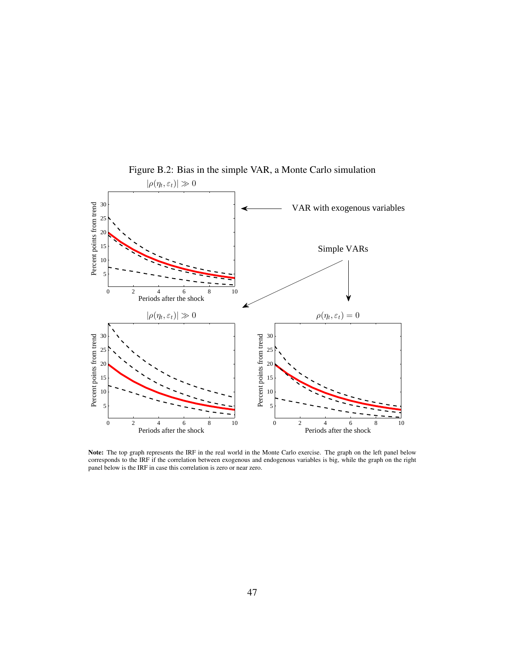

Figure B.2: Bias in the simple VAR, a Monte Carlo simulation

Note: The top graph represents the IRF in the real world in the Monte Carlo exercise. The graph on the left panel below corresponds to the IRF if the correlation between exogenous and endogenous variables is big, while the graph on the right panel below is the IRF in case this correlation is zero or near zero.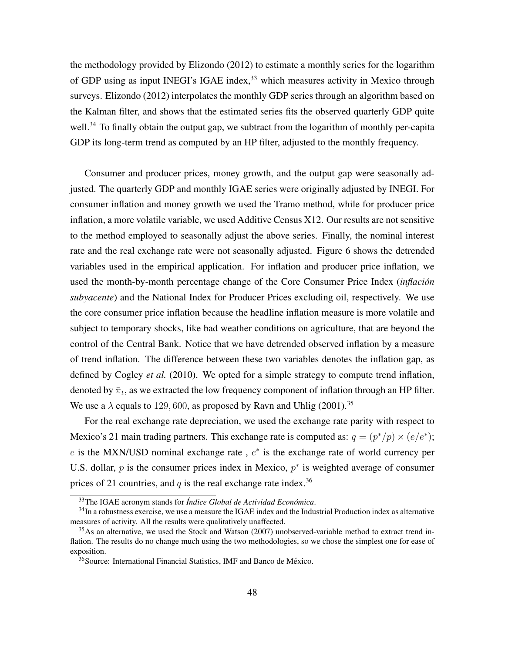the methodology provided by Elizondo (2012) to estimate a monthly series for the logarithm of GDP using as input INEGI's IGAE index,<sup>33</sup> which measures activity in Mexico through surveys. Elizondo (2012) interpolates the monthly GDP series through an algorithm based on the Kalman filter, and shows that the estimated series fits the observed quarterly GDP quite well.<sup>34</sup> To finally obtain the output gap, we subtract from the logarithm of monthly per-capita GDP its long-term trend as computed by an HP filter, adjusted to the monthly frequency.

Consumer and producer prices, money growth, and the output gap were seasonally adjusted. The quarterly GDP and monthly IGAE series were originally adjusted by INEGI. For consumer inflation and money growth we used the Tramo method, while for producer price inflation, a more volatile variable, we used Additive Census X12. Our results are not sensitive to the method employed to seasonally adjust the above series. Finally, the nominal interest rate and the real exchange rate were not seasonally adjusted. Figure 6 shows the detrended variables used in the empirical application. For inflation and producer price inflation, we used the month-by-month percentage change of the Core Consumer Price Index (*inflacion´ subyacente*) and the National Index for Producer Prices excluding oil, respectively. We use the core consumer price inflation because the headline inflation measure is more volatile and subject to temporary shocks, like bad weather conditions on agriculture, that are beyond the control of the Central Bank. Notice that we have detrended observed inflation by a measure of trend inflation. The difference between these two variables denotes the inflation gap, as defined by Cogley *et al.* (2010). We opted for a simple strategy to compute trend inflation, denoted by  $\bar{\pi}_t$ , as we extracted the low frequency component of inflation through an HP filter. We use a  $\lambda$  equals to 129, 600, as proposed by Ravn and Uhlig (2001).<sup>35</sup>

For the real exchange rate depreciation, we used the exchange rate parity with respect to Mexico's 21 main trading partners. This exchange rate is computed as:  $q = (p^*/p) \times (e/e^*)$ ;  $e$  is the MXN/USD nominal exchange rate,  $e^*$  is the exchange rate of world currency per U.S. dollar,  $p$  is the consumer prices index in Mexico,  $p^*$  is weighted average of consumer prices of 21 countries, and  $q$  is the real exchange rate index.<sup>36</sup>

<sup>&</sup>lt;sup>33</sup>The IGAE acronym stands for *Índice Global de Actividad Económica*.

<sup>&</sup>lt;sup>34</sup>In a robustness exercise, we use a measure the IGAE index and the Industrial Production index as alternative measures of activity. All the results were qualitatively unaffected.

<sup>&</sup>lt;sup>35</sup>As an alternative, we used the Stock and Watson (2007) unobserved-variable method to extract trend inflation. The results do no change much using the two methodologies, so we chose the simplest one for ease of exposition.

<sup>&</sup>lt;sup>36</sup>Source: International Financial Statistics, IMF and Banco de México.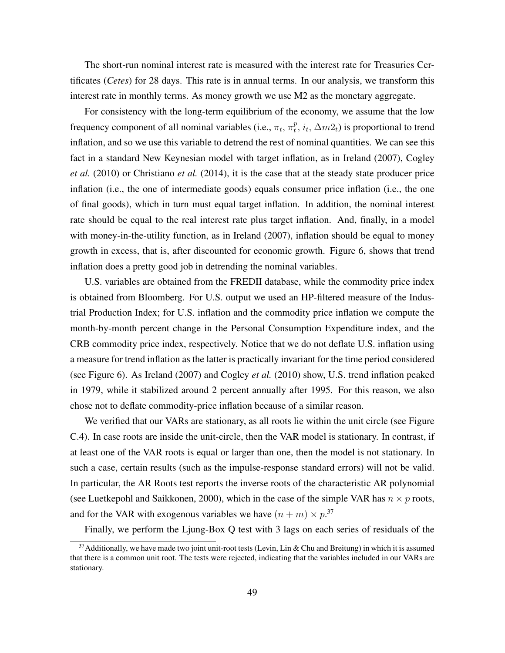The short-run nominal interest rate is measured with the interest rate for Treasuries Certificates (*Cetes*) for 28 days. This rate is in annual terms. In our analysis, we transform this interest rate in monthly terms. As money growth we use M2 as the monetary aggregate.

For consistency with the long-term equilibrium of the economy, we assume that the low frequency component of all nominal variables (i.e.,  $\pi_t$ ,  $\pi_t^p$  $_t^p$ ,  $i_t$ ,  $\Delta m2_t$ ) is proportional to trend inflation, and so we use this variable to detrend the rest of nominal quantities. We can see this fact in a standard New Keynesian model with target inflation, as in Ireland (2007), Cogley *et al.* (2010) or Christiano *et al.* (2014), it is the case that at the steady state producer price inflation (i.e., the one of intermediate goods) equals consumer price inflation (i.e., the one of final goods), which in turn must equal target inflation. In addition, the nominal interest rate should be equal to the real interest rate plus target inflation. And, finally, in a model with money-in-the-utility function, as in Ireland (2007), inflation should be equal to money growth in excess, that is, after discounted for economic growth. Figure 6, shows that trend inflation does a pretty good job in detrending the nominal variables.

U.S. variables are obtained from the FREDII database, while the commodity price index is obtained from Bloomberg. For U.S. output we used an HP-filtered measure of the Industrial Production Index; for U.S. inflation and the commodity price inflation we compute the month-by-month percent change in the Personal Consumption Expenditure index, and the CRB commodity price index, respectively. Notice that we do not deflate U.S. inflation using a measure for trend inflation as the latter is practically invariant for the time period considered (see Figure 6). As Ireland (2007) and Cogley *et al.* (2010) show, U.S. trend inflation peaked in 1979, while it stabilized around 2 percent annually after 1995. For this reason, we also chose not to deflate commodity-price inflation because of a similar reason.

We verified that our VARs are stationary, as all roots lie within the unit circle (see Figure C.4). In case roots are inside the unit-circle, then the VAR model is stationary. In contrast, if at least one of the VAR roots is equal or larger than one, then the model is not stationary. In such a case, certain results (such as the impulse-response standard errors) will not be valid. In particular, the AR Roots test reports the inverse roots of the characteristic AR polynomial (see Luetkepohl and Saikkonen, 2000), which in the case of the simple VAR has  $n \times p$  roots, and for the VAR with exogenous variables we have  $(n + m) \times p^{37}$ 

Finally, we perform the Ljung-Box Q test with 3 lags on each series of residuals of the

<sup>&</sup>lt;sup>37</sup> Additionally, we have made two joint unit-root tests (Levin, Lin & Chu and Breitung) in which it is assumed that there is a common unit root. The tests were rejected, indicating that the variables included in our VARs are stationary.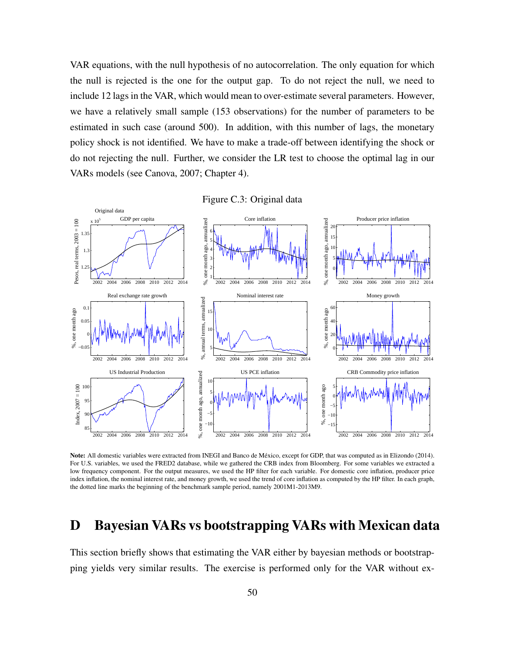VAR equations, with the null hypothesis of no autocorrelation. The only equation for which the null is rejected is the one for the output gap. To do not reject the null, we need to include 12 lags in the VAR, which would mean to over-estimate several parameters. However, we have a relatively small sample (153 observations) for the number of parameters to be estimated in such case (around 500). In addition, with this number of lags, the monetary policy shock is not identified. We have to make a trade-off between identifying the shock or do not rejecting the null. Further, we consider the LR test to choose the optimal lag in our VARs models (see Canova, 2007; Chapter 4).



Note: All domestic variables were extracted from INEGI and Banco de Mexico, except for GDP, that was computed as in Elizondo (2014). ´ For U.S. variables, we used the FRED2 database, while we gathered the CRB index from Bloomberg. For some variables we extracted a low frequency component. For the output measures, we used the HP filter for each variable. For domestic core inflation, producer price index inflation, the nominal interest rate, and money growth, we used the trend of core inflation as computed by the HP filter. In each graph, the dotted line marks the beginning of the benchmark sample period, namely 2001M1-2013M9.

## D Bayesian VARs vs bootstrapping VARs with Mexican data

This section briefly shows that estimating the VAR either by bayesian methods or bootstrapping yields very similar results. The exercise is performed only for the VAR without ex-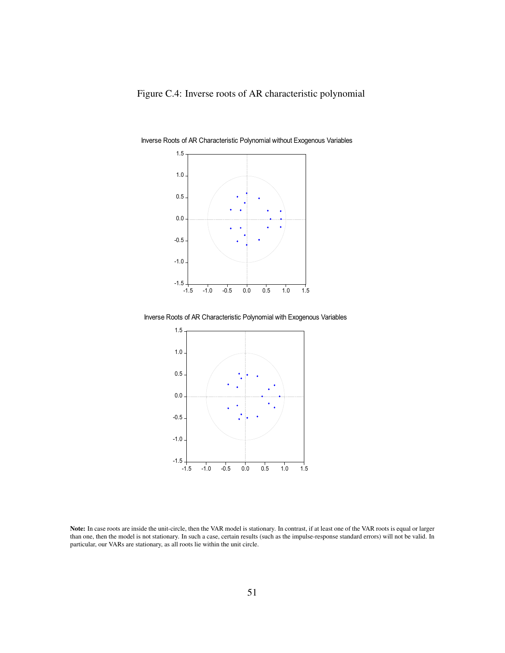

Inverse Roots of AR Characteristic Polynomial without Exogenous Variables

Inverse Roots of AR Characteristic Polynomial with Exogenous Variables



Note: In case roots are inside the unit-circle, then the VAR model is stationary. In contrast, if at least one of the VAR roots is equal or larger than one, then the model is not stationary. In such a case, certain results (such as the impulse-response standard errors) will not be valid. In particular, our VARs are stationary, as all roots lie within the unit circle.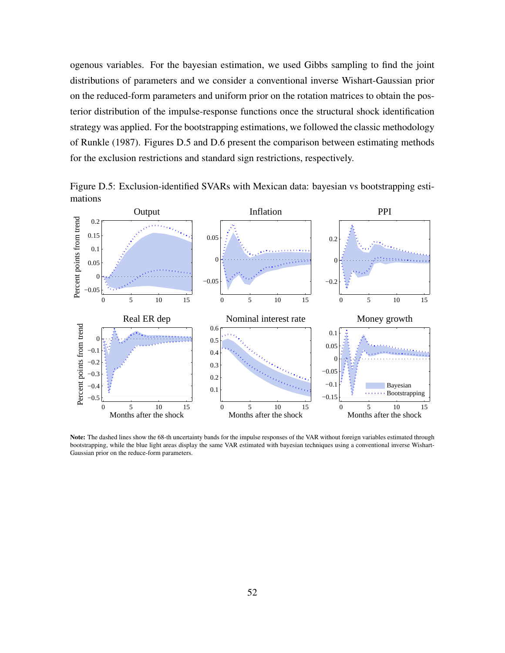ogenous variables. For the bayesian estimation, we used Gibbs sampling to find the joint distributions of parameters and we consider a conventional inverse Wishart-Gaussian prior on the reduced-form parameters and uniform prior on the rotation matrices to obtain the posterior distribution of the impulse-response functions once the structural shock identification strategy was applied. For the bootstrapping estimations, we followed the classic methodology of Runkle (1987). Figures D.5 and D.6 present the comparison between estimating methods for the exclusion restrictions and standard sign restrictions, respectively.



Figure D.5: Exclusion-identified SVARs with Mexican data: bayesian vs bootstrapping estimations

Note: The dashed lines show the 68-th uncertainty bands for the impulse responses of the VAR without foreign variables estimated through bootstrapping, while the blue light areas display the same VAR estimated with bayesian techniques using a conventional inverse Wishart-Gaussian prior on the reduce-form parameters.